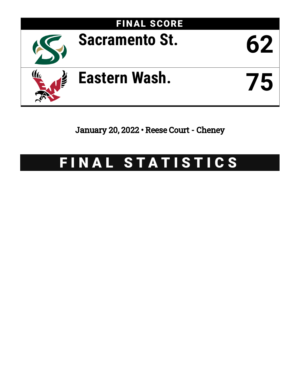

January 20, 2022 • Reese Court - Cheney

# FINAL STATISTICS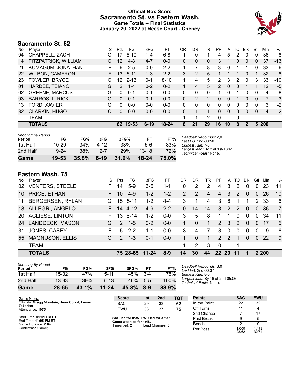# **Official Box Score Sacramento St. vs Eastern Wash. Game Totals -- Final Statistics January 20, 2022 at Reese Court - Cheney**



# **Sacramento St. 62**

| No. | Plaver                  | S  | Pts           | FG       | 3FG      | FТ        | <b>OR</b> | DR       | TR                    | PF            | A            | TO | Blk          | Stl      | Min   | $+/-$ |
|-----|-------------------------|----|---------------|----------|----------|-----------|-----------|----------|-----------------------|---------------|--------------|----|--------------|----------|-------|-------|
| 04  | CHAPPELL, ZACH          | G  |               | $5 - 10$ | $1 - 4$  | $6 - 8$   |           | 0        |                       | 4             | 5            | 2  | 0            | 0        | 36    | -8    |
| 14  | FITZPATRICK, WILLIAM    | G  | 12            | $4 - 8$  | $4 - 7$  | $0 - 0$   | $\Omega$  | 0        | 0                     | 3             | 1            | 0  | 0            | 0        | 37    | $-13$ |
| 21  | KOMAGUM, JONATHAN       | F  | 6             | $2 - 5$  | $0 - 0$  | $2 - 2$   |           | 7        | 8                     | 3             | 0            |    | 1            | 0        | 33    | -6    |
| 22  | <b>WILBON, CAMERON</b>  | F. | 13            | $5 - 11$ | $1 - 3$  | $2 - 2$   | 3         | 2        | 5                     |               |              | 1  | $\mathbf{0}$ |          | 32    | -8    |
| 23  | <b>FOWLER, BRYCE</b>    | G  | 12            | $2 - 13$ | $0 - 1$  | $8 - 10$  | 1.        | 4        | 5                     | 2             | 3            | 2  | 0            | 3        | 33    | $-10$ |
| 01  | HARDEE, TEIANO          | G  | $\mathcal{P}$ | $1 - 4$  | $0 - 2$  | $0 - 2$   |           | 4        | 5                     | $\mathcal{P}$ | $\Omega$     | 0  |              |          | 12    | $-5$  |
| 02  | <b>GREENE, MARCUS</b>   | G  | $\Omega$      | $0 - 1$  | $0 - 1$  | $0 - 0$   | 0         | 0        | 0                     |               | 0            |    | 0            | 0        | 4     | -8    |
| 03  | <b>BARROS III, RICK</b> | G  | $\Omega$      | $0 - 1$  | $0 - 1$  | $0 - 0$   | 0         | 2        | $\mathbf{2}^{\prime}$ | 0             | $\mathbf{0}$ |    | 0            | 0        | 7     | $-3$  |
| 13  | FORD, XAVIER            | G  | 0             | $0 - 0$  | $0 - 0$  | $0 - 0$   | 0         | $\Omega$ | 0                     | 0             | 0            | 0  | 0            | 0        | 3     | $-2$  |
| 32  | <b>CLARKIN, HUGO</b>    | С  | 0             | $0 - 0$  | $0 - 0$  | $0 - 0$   | $\Omega$  | 1        | 1                     | $\Omega$      | $\Omega$     | 0  | $\Omega$     | $\Omega$ | 4     | $-2$  |
|     | <b>TEAM</b>             |    |               |          |          |           |           | 1        | $\overline{2}$        | 0             |              | 0  |              |          |       |       |
|     | <b>TOTALS</b>           |    | 62            | 19-53    | $6 - 19$ | $18 - 24$ | 8         | 21       | 29                    | 16            | 10           | 8  | 2            |          | 5 200 |       |

| <b>Shooting By Period</b><br>Period | FG        | FG%   | 3FG     | 3FG%       | FT        | FT%   | Deadball Rebounds: 2,0<br>Last $FG: 2nd-00:50$            |
|-------------------------------------|-----------|-------|---------|------------|-----------|-------|-----------------------------------------------------------|
| 1st Half                            | $10 - 29$ | 34%   | 4-12    | 33%        | $5-6$     | 83%   | Biagest Run: 7-0                                          |
| 2nd Half                            | $9 - 24$  | 38%   | $2 - 7$ | <b>29%</b> | $13 - 18$ | 72%   | Largest lead: By 2 at 1st-18:41<br>Technical Fouls: None. |
| Game                                | 19-53     | 35.8% | $6-19$  | 31.6%      | $18 - 24$ | 75.0% |                                                           |

# **Eastern Wash. 75**

| No.       | Player                  | S  | Pts           | FG           | 3FG       | FT      | OR | DR       | TR | PF              | A             | TO.           | Blk      | Stl            | Min   | $+/-$          |
|-----------|-------------------------|----|---------------|--------------|-----------|---------|----|----------|----|-----------------|---------------|---------------|----------|----------------|-------|----------------|
| 02        | <b>VENTERS, STEELE</b>  | F. | 14            | $5-9$        | $3-5$     | $1 - 1$ | 0  | 2        | 2  | 4               | 3             | 2             | $\Omega$ | 0              | 23    | 11             |
| 10        | PRICE, ETHAN            | F. | 10            | $4-9$        | $1 - 2$   | $1 - 2$ | 2  | 2        | 4  | 4               | 3             | 2             | $\Omega$ | $\Omega$       | 26    | 10             |
| 11        | <b>BERGERSEN, RYLAN</b> | G  |               | $15 \t 5-11$ | $1-2$     | $4 - 4$ | 3  |          | 4  | 3               | 6             |               |          | $\overline{2}$ | -33   | 6              |
| 13        | ALLEGRI, ANGELO         | F. | 14            | 4-12         | $4 - 9$   | $2 - 2$ | 0  | 14       | 14 | 3               | 2             | $\mathcal{P}$ | $\Omega$ | $\mathbf{0}$   | 36    | $\overline{7}$ |
| <b>20</b> | <b>ACLIESE, LINTON</b>  | F  | 13            | $6 - 14$     | $1 - 2$   | $0 - 0$ | 3  | 5        | 8  | 1               | 1             | $\Omega$      | $\Omega$ | $\Omega$       | 34    | 11             |
| 24        | <b>LANDDECK, MASON</b>  | G. | $\mathcal{P}$ | $1 - 5$      | $0 - 2$   | $0 - 0$ |    | $\Omega$ |    | $\mathcal{P}$   | 3             | $\mathcal{P}$ | $\Omega$ | $\Omega$       | 17    | 5              |
| 31        | JONES, CASEY            | F  | 5             | $2 - 2$      | 1-1       | $0-0$   | 3  | 4        | 7  | 3               | $\Omega$      | 0             | $\Omega$ | $\Omega$       | 9     | 6              |
| 55        | <b>MAGNUSON, ELLIS</b>  | G. | $\mathcal{P}$ | $1 - 3$      | $0 - 1$   | $0 - 0$ |    | $\Omega$ |    | $\mathcal{P}$   | $\mathcal{P}$ | 1             | $\Omega$ | $\Omega$       | 22    | 9              |
|           | <b>TEAM</b>             |    |               |              |           |         | 1  | 2        | 3  | 0               |               | 1             |          |                |       |                |
|           | <b>TOTALS</b>           |    |               | 75 28-65     | $11 - 24$ | $8-9$   | 14 | 30       | 44 | 22 <sub>2</sub> | <b>20</b>     | -11           |          |                | 2 200 |                |
|           |                         |    |               |              |           |         |    |          |    |                 |               |               |          |                |       |                |

| Game                                | 28-65     | 43.1% | $11 - 24$ | 45.8% | 8-9   | 88.9% |   |
|-------------------------------------|-----------|-------|-----------|-------|-------|-------|---|
| 2nd Half                            | $13 - 33$ | 39%   | 6-13      | 46%   | $5-5$ | 100%  |   |
| 1st Half                            | 15-32     | 47%   | 5-11      | 45%   | $3-4$ | 75%   | E |
| <b>Shooting By Period</b><br>Period | FG        | FG%   | 3FG       | 3FG%  | FТ    | FT%   |   |

*Deadball Rebounds:* 3,0 *Last FG:* 2nd-00:37 *Biggest Run:* 8-0 *Largest lead:* By 16 at 2nd-05:06 *Technical Fouls:* None.

| Game Notes:                                               | <b>Score</b>                             | 1st | 2 <sub>nd</sub> | <b>TOT</b> | <b>Points</b>     | <b>SAC</b>     | <b>EWU</b>     |
|-----------------------------------------------------------|------------------------------------------|-----|-----------------|------------|-------------------|----------------|----------------|
| Officials: Gregg Morstein, Juan Corral, Levon<br>Zakarian | <b>SAC</b>                               | 29  | 33              | 62         | In the Paint      | 22             | 32             |
| Attendance: 1075                                          | EWU                                      | 38  | 37              | 75         | Off Turns         |                |                |
|                                                           |                                          |     |                 |            | 2nd Chance        |                |                |
| Start Time: 09:01 PM ET<br>End Time: 11:05 PM ET          | SAC led for 0:35. EWU led for 37:37.     |     |                 |            | <b>Fast Break</b> |                |                |
| Game Duration: 2:04                                       | Game was tied for 1:48.<br>Times tied: 2 |     | Lead Changes: 3 |            | Bench             |                |                |
| Conference Game;                                          |                                          |     |                 |            | Per Poss          | 1.000<br>28/62 | 1.172<br>32/64 |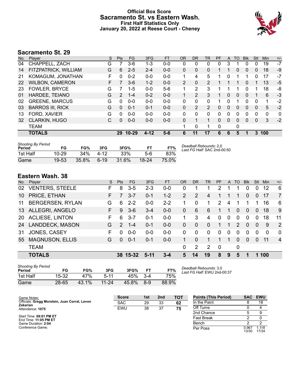# **Official Box Score Sacramento St. vs Eastern Wash. First Half Statistics Only January 20, 2022 at Reese Court - Cheney**



# **Sacramento St. 29**

| No. | Player                  | S  | <b>Pts</b>    | FG        | 3FG      | <b>FT</b> | <b>OR</b>      | <b>DR</b> | TR             | PF | A | TO       | <b>Blk</b>   | Stl          | Min      | $+/-$ |
|-----|-------------------------|----|---------------|-----------|----------|-----------|----------------|-----------|----------------|----|---|----------|--------------|--------------|----------|-------|
| 04  | CHAPPELL, ZACH          | G  |               | 3-6       | 1-3      | $0-0$     | 0              | 0         | 0              | 0  | 3 |          |              | 0            | 19       | $-7$  |
| 14  | FITZPATRICK, WILLIAM    | G  | 6             | $2 - 5$   | $2 - 4$  | $0 - 0$   | 0              | 0         | 0              |    |   | 0        | 0            | 0            | 18       | -9    |
| 21  | KOMAGUM, JONATHAN       | F. | 0             | $0 - 2$   | $0 - 0$  | $0 - 0$   | 1.             | 4         | 5              | 1  | 0 |          | 1            | 0            | 17       | -7    |
| 22  | <b>WILBON, CAMERON</b>  | F. | 7             | $3-6$     | $1 - 2$  | $0 - 0$   | $\overline{2}$ | $\Omega$  | $\overline{2}$ |    |   | 1        | $\Omega$     |              | 13       | $-5$  |
| 23  | <b>FOWLER, BRYCE</b>    | G  |               | $1 - 5$   | $0 - 0$  | $5-6$     |                | 2         | 3              |    |   |          | 0            |              | 18       | -8    |
| 01  | HARDEE, TEIANO          | G  | $\mathcal{P}$ | $1 - 4$   | $0 - 2$  | $0 - 0$   |                | 2         | 3              |    | 0 | 0        | $\Omega$     |              | 6        | $-3$  |
| 02  | <b>GREENE, MARCUS</b>   | G  | 0             | $0 - 0$   | $0 - 0$  | $0 - 0$   | 0              | 0         | 0              | 1  | 0 |          | 0            | 0            | 1        | $-2$  |
| 03  | <b>BARROS III, RICK</b> | G  | $\Omega$      | $0 - 1$   | $0 - 1$  | $0 - 0$   | 0              | 2         | $\overline{2}$ | 0  | 0 | $\Omega$ | $\Omega$     | $\Omega$     | 5        | $-2$  |
| 13  | FORD, XAVIER            | G  | 0             | $0 - 0$   | $0 - 0$  | $0 - 0$   | 0              | 0         | 0              | 0  | 0 | 0        | $\Omega$     | 0            | $\Omega$ | 0     |
| 32  | <b>CLARKIN, HUGO</b>    | С  | $\Omega$      | $0 - 0$   | $0 - 0$  | $0 - 0$   | 0              | 1         |                | 0  | 0 | 0        | $\mathbf{0}$ | $\mathbf{0}$ | 3        | $-2$  |
|     | <b>TEAM</b>             |    |               |           |          |           |                | 0         |                | 0  |   | 0        |              |              |          |       |
|     | <b>TOTALS</b>           |    | 29            | $10 - 29$ | $4 - 12$ | $5-6$     | 6              | 11        | 17             | 6  | 6 | 5        |              | 3            | 100      |       |
|     |                         |    |               |           |          |           |                |           |                |    |   |          |              |              |          |       |

| <b>Shooting By Period</b><br>Period | FG    | FG%    | 3FG    | 3FG%  |       | FT%   | Deadball Rebounds: 2,0<br>Last FG Half: SAC 2nd-00:50 |
|-------------------------------------|-------|--------|--------|-------|-------|-------|-------------------------------------------------------|
| 1st Half                            | 10-29 | $34\%$ | $4-12$ | 33%   | 5-6   | 83%   |                                                       |
| Game                                | 19-53 | 35.8%  | $6-19$ | 31.6% | 18-24 | 75.0% |                                                       |

# **Eastern Wash. 38**

| No.       | Plaver                  | S  | <b>Pts</b>    | FG       | 3FG     | <b>FT</b> | <b>OR</b>      | <b>DR</b> | <b>TR</b>     | PF       | A        | TO.            | <b>Blk</b> | Stl      | Min      | $+/-$          |
|-----------|-------------------------|----|---------------|----------|---------|-----------|----------------|-----------|---------------|----------|----------|----------------|------------|----------|----------|----------------|
| 02        | <b>VENTERS, STEELE</b>  | F  | 8             | 3-5      | $2 - 3$ | $0 - 0$   | 0              |           |               | 2        |          |                |            | 0        | 12       | 6              |
| 10        | PRICE, ETHAN            | F  | 7             | $3 - 7$  | $0 - 1$ | $1 - 2$   | $\overline{2}$ | 2         | 4             |          |          |                | 0          | 0        | 17       | $\overline{7}$ |
| 11        | <b>BERGERSEN, RYLAN</b> | G  | 6             | $2 - 2$  | $0-0$   | $2 - 2$   |                | $\Omega$  | 1             | 2        | 4        | 1              |            | 1        | 16       | 6              |
| 13        | ALLEGRI, ANGELO         | F. | 9             | $3-6$    | $3 - 4$ | $0 - 0$   | $\Omega$       | 6         | 6             |          | 1        | 0              | $\Omega$   | $\Omega$ | 18       | 9              |
| <b>20</b> | <b>ACLIESE, LINTON</b>  | F  | 6             | $3 - 7$  | $0 - 1$ | $0-0$     | 1              | 3         | 4             | $\Omega$ | 0        | $\Omega$       | $\Omega$   | $\Omega$ | 18       | 11             |
| 24        | LANDDECK, MASON         | G  | $\mathcal{P}$ | $1 - 4$  | $0 - 1$ | $0 - 0$   | $\Omega$       | $\Omega$  | $\Omega$      | 1        | 1        | $\overline{2}$ | $\Omega$   | $\Omega$ | 9        | 2              |
| 31        | JONES, CASEY            | F  | 0             | $0 - 0$  | $0-0$   | $0-0$     | 0              | $\Omega$  | $\Omega$      | $\Omega$ | $\Omega$ | 0              | $\Omega$   | $\Omega$ | $\Omega$ | $\Omega$       |
| 55        | <b>MAGNUSON, ELLIS</b>  | G. | $\Omega$      | $0 - 1$  | $0 - 1$ | $0 - 0$   |                | $\Omega$  |               |          | 1        | 0              | $\Omega$   | $\Omega$ | 11       | $\overline{4}$ |
|           | <b>TEAM</b>             |    |               |          |         |           | 0              | 2         | $\mathcal{P}$ | $\Omega$ |          | 0              |            |          |          |                |
|           | <b>TOTALS</b>           |    |               | 38 15-32 | $5-11$  | $3 - 4$   | 5              | 14        | 19            | 8        | 9        | 5              |            | 1        | 100      |                |
|           |                         |    |               |          |         |           |                |           |               |          |          |                |            |          |          |                |

| <b>Shooting By Period</b><br>Period | FG    | FG%   | 3FG       | 3FG%  |       | FT%   |
|-------------------------------------|-------|-------|-----------|-------|-------|-------|
| 1st Half                            | 15-32 | 47%   | $5 - 11$  | 45%   | $3-4$ | 75%   |
| Game                                | 28-65 | 43.1% | $11 - 24$ | 45.8% | $8-9$ | 88.9% |

*Deadball Rebounds:* 3,0 *Last FG Half:* EWU 2nd-00:37

| Game Notes:                                               | <b>Score</b> | 1st | 2 <sub>nd</sub> | <b>TOT</b> | <b>Points (This Period)</b> | <b>SAC</b>     | <b>EWU</b>     |
|-----------------------------------------------------------|--------------|-----|-----------------|------------|-----------------------------|----------------|----------------|
| Officials: Gregg Morstein, Juan Corral, Levon<br>Zakarian | <b>SAC</b>   | 29  | 33              | 62         | In the Paint                |                | 18             |
| Attendance: 1075                                          | <b>EWU</b>   | 38  | 37              | 75         | Off Turns                   |                |                |
|                                                           |              |     |                 |            | 2nd Chance                  |                |                |
| Start Time: 09:01 PM ET<br>End Time: 11:05 PM ET          |              |     |                 |            | <b>Fast Break</b>           |                |                |
| Game Duration: 2:04                                       |              |     |                 |            | Bench                       |                |                |
| Conference Game:                                          |              |     |                 |            | Per Poss                    | 0.967<br>13/30 | 1.118<br>17/34 |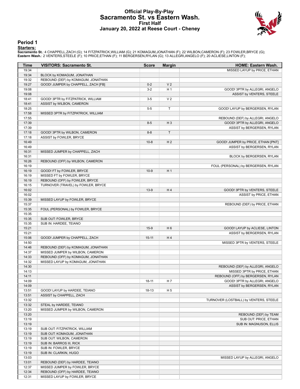# **Official Play-By-Play Sacramento St. vs Eastern Wash. First Half January 20, 2022 at Reese Court - Cheney**



#### **Period 1**

<mark>Starters:</mark><br>Sacramento St.: 4 CHAPPELL,ZACH (G); 14 FITZPATRICK,WILLIAM (G); 21 KOMAGUM,JONATHAN (F); 22 WILBON,CAMERON (F); 23 FOWLER,BRYCE (G);<br>Eastern Wash.: 2 VENTERS,STEELE (F); 10 PRICE,ETHAN (F); 11 BERGERSEN,RYLAN

| Time           | <b>VISITORS: Sacramento St.</b>     | <b>Score</b> | <b>Margin</b>  | HOME: Eastern Wash.                    |
|----------------|-------------------------------------|--------------|----------------|----------------------------------------|
| 19:34          |                                     |              |                | MISSED LAYUP by PRICE, ETHAN           |
| 19:34          | BLOCK by KOMAGUM, JONATHAN          |              |                |                                        |
| 19:32          | REBOUND (DEF) by KOMAGUM, JONATHAN  |              |                |                                        |
| 19:27          | GOOD! JUMPER by CHAPPELL, ZACH [FB] | $0 - 2$      | V <sub>2</sub> |                                        |
| 19:08          |                                     | $3-2$        | H <sub>1</sub> | GOOD! 3PTR by ALLEGRI, ANGELO          |
| 19:08          |                                     |              |                | ASSIST by VENTERS, STEELE              |
| 18:41          | GOOD! 3PTR by FITZPATRICK, WILLIAM  | $3-5$        | V <sub>2</sub> |                                        |
| 18:41          | ASSIST by WILBON, CAMERON           |              |                |                                        |
| 18:25          |                                     | $5-5$        | T.             | GOOD! LAYUP by BERGERSEN, RYLAN        |
| 17:58          | MISSED 3PTR by FITZPATRICK, WILLIAM |              |                |                                        |
| 17:55          |                                     |              |                | REBOUND (DEF) by ALLEGRI, ANGELO       |
| 17:39          |                                     | $8 - 5$      | $H_3$          | GOOD! 3PTR by ALLEGRI, ANGELO          |
| 17:39          |                                     |              |                | ASSIST by BERGERSEN, RYLAN             |
| 17:18          | GOOD! 3PTR by WILBON, CAMERON       | $8 - 8$      | T.             |                                        |
| 17:18          | ASSIST by FOWLER, BRYCE             |              |                |                                        |
| 16:49          |                                     | $10-8$       | H <sub>2</sub> | GOOD! JUMPER by PRICE, ETHAN [PNT]     |
| 16:49          |                                     |              |                | ASSIST by BERGERSEN, RYLAN             |
| 16:31<br>16:31 | MISSED JUMPER by CHAPPELL, ZACH     |              |                |                                        |
|                | REBOUND (OFF) by WILBON, CAMERON    |              |                | BLOCK by BERGERSEN, RYLAN              |
| 16:26<br>16:19 |                                     |              |                | FOUL (PERSONAL) by BERGERSEN, RYLAN    |
| 16:19          | GOOD! FT by FOWLER, BRYCE           | $10-9$       | H1             |                                        |
| 16:19          | MISSED FT by FOWLER, BRYCE          |              |                |                                        |
| 16:19          | REBOUND (OFF) by FOWLER, BRYCE      |              |                |                                        |
| 16:15          | TURNOVER (TRAVEL) by FOWLER, BRYCE  |              |                |                                        |
| 16:02          |                                     | $13-9$       | H <sub>4</sub> | GOOD! 3PTR by VENTERS, STEELE          |
| 16:02          |                                     |              |                | ASSIST by PRICE, ETHAN                 |
| 15:39          | MISSED LAYUP by FOWLER, BRYCE       |              |                |                                        |
| 15:37          |                                     |              |                | REBOUND (DEF) by PRICE, ETHAN          |
| 15:35          | FOUL (PERSONAL) by FOWLER, BRYCE    |              |                |                                        |
| 15:35          |                                     |              |                |                                        |
| 15:35          | SUB OUT: FOWLER, BRYCE              |              |                |                                        |
| 15:35          | SUB IN: HARDEE, TEIANO              |              |                |                                        |
| 15:21          |                                     | $15-9$       | H <sub>6</sub> | GOOD! LAYUP by ACLIESE, LINTON         |
| 15:21          |                                     |              |                | ASSIST by BERGERSEN, RYLAN             |
| 15:06          | GOOD! JUMPER by CHAPPELL, ZACH      | $15-11$      | H4             |                                        |
| 14:50          |                                     |              |                | MISSED 3PTR by VENTERS, STEELE         |
| 14:46          | REBOUND (DEF) by KOMAGUM, JONATHAN  |              |                |                                        |
| 14:37          | MISSED JUMPER by WILBON, CAMERON    |              |                |                                        |
| 14:33          | REBOUND (OFF) by KOMAGUM, JONATHAN  |              |                |                                        |
| 14:32          | MISSED LAYUP by KOMAGUM, JONATHAN   |              |                |                                        |
| 14:30          |                                     |              |                | REBOUND (DEF) by ALLEGRI, ANGELO       |
| 14:13          |                                     |              |                | MISSED 3PTR by PRICE, ETHAN            |
| 14:11          |                                     |              |                | REBOUND (OFF) by BERGERSEN, RYLAN      |
| 14:09          |                                     | 18-11        | H 7            | GOOD! 3PTR by ALLEGRI, ANGELO          |
| 14:09          |                                     |              |                | ASSIST by BERGERSEN, RYLAN             |
| 13:51          | GOOD! LAYUP by HARDEE, TEIANO       | $18-13$      | H <sub>5</sub> |                                        |
| 13:51<br>13:32 | ASSIST by CHAPPELL, ZACH            |              |                | TURNOVER (LOSTBALL) by VENTERS, STEELE |
| 13:32          | STEAL by HARDEE, TEIANO             |              |                |                                        |
| 13:20          | MISSED JUMPER by WILBON, CAMERON    |              |                |                                        |
| 13:20          |                                     |              |                | REBOUND (DEF) by TEAM                  |
| 13:19          |                                     |              |                | SUB OUT: PRICE, ETHAN                  |
| 13:19          |                                     |              |                | SUB IN: MAGNUSON, ELLIS                |
| 13:19          | SUB OUT: FITZPATRICK, WILLIAM       |              |                |                                        |
| 13:19          | SUB OUT: KOMAGUM, JONATHAN          |              |                |                                        |
| 13:19          | SUB OUT: WILBON, CAMERON            |              |                |                                        |
| 13:19          | SUB IN: BARROS III, RICK            |              |                |                                        |
| 13:19          | SUB IN: FOWLER, BRYCE               |              |                |                                        |
| 13:19          | SUB IN: CLARKIN, HUGO               |              |                |                                        |
| 13:03          |                                     |              |                | MISSED LAYUP by ALLEGRI, ANGELO        |
| 13:01          | REBOUND (DEF) by HARDEE, TEIANO     |              |                |                                        |
| 12:37          | MISSED JUMPER by FOWLER, BRYCE      |              |                |                                        |
| 12:34          | REBOUND (OFF) by HARDEE, TEIANO     |              |                |                                        |
| 12:31          | MISSED LAYUP by FOWLER, BRYCE       |              |                |                                        |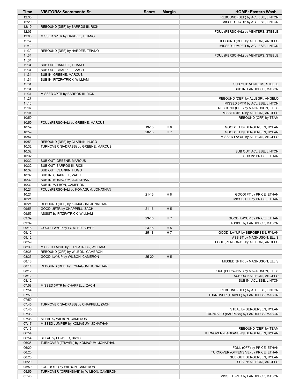| Time           | <b>VISITORS: Sacramento St.</b>         | <b>Score</b> | <b>Margin</b>  | <b>HOME: Eastern Wash.</b>                                   |
|----------------|-----------------------------------------|--------------|----------------|--------------------------------------------------------------|
| 12:30          |                                         |              |                | REBOUND (DEF) by ACLIESE, LINTON                             |
| 12:20          |                                         |              |                | MISSED LAYUP by ACLIESE, LINTON                              |
| 12:19          | REBOUND (DEF) by BARROS III, RICK       |              |                |                                                              |
| 12:06          |                                         |              |                | FOUL (PERSONAL) by VENTERS, STEELE                           |
| 12:00          | MISSED 3PTR by HARDEE, TEIANO           |              |                |                                                              |
| 11:57          |                                         |              |                | REBOUND (DEF) by ALLEGRI, ANGELO                             |
| 11:42          |                                         |              |                | MISSED JUMPER by ACLIESE, LINTON                             |
| 11:39          | REBOUND (DEF) by HARDEE, TEIANO         |              |                |                                                              |
| 11:34          |                                         |              |                | FOUL (PERSONAL) by VENTERS, STEELE                           |
| 11:34          |                                         |              |                |                                                              |
| 11:34          | SUB OUT: HARDEE, TEIANO                 |              |                |                                                              |
| 11:34          | SUB OUT: CHAPPELL, ZACH                 |              |                |                                                              |
| 11:34          | SUB IN: GREENE, MARCUS                  |              |                |                                                              |
| 11:34          | SUB IN: FITZPATRICK, WILLIAM            |              |                |                                                              |
| 11:34          |                                         |              |                | SUB OUT: VENTERS, STEELE                                     |
| 11:34          |                                         |              |                | SUB IN: LANDDECK, MASON                                      |
| 11:31          | MISSED 3PTR by BARROS III, RICK         |              |                |                                                              |
| 11:27          |                                         |              |                | REBOUND (DEF) by ALLEGRI, ANGELO                             |
| 11:10          |                                         |              |                | MISSED 3PTR by ACLIESE, LINTON                               |
| 11:07          |                                         |              |                | REBOUND (OFF) by MAGNUSON, ELLIS                             |
| 11:01<br>10:59 |                                         |              |                | MISSED 3PTR by ALLEGRI, ANGELO                               |
|                |                                         |              |                | REBOUND (OFF) by TEAM                                        |
| 10:59<br>10:59 | FOUL (PERSONAL) by GREENE, MARCUS       | 19-13        | H <sub>6</sub> |                                                              |
| 10:59          |                                         | $20-13$      | H 7            | GOOD! FT by BERGERSEN, RYLAN<br>GOOD! FT by BERGERSEN, RYLAN |
| 10:57          |                                         |              |                | MISSED LAYUP by ALLEGRI, ANGELO                              |
| 10:53          | REBOUND (DEF) by CLARKIN, HUGO          |              |                |                                                              |
| 10:32          | TURNOVER (BADPASS) by GREENE, MARCUS    |              |                |                                                              |
| 10:32          |                                         |              |                | SUB OUT: ACLIESE, LINTON                                     |
| 10:32          |                                         |              |                | SUB IN: PRICE, ETHAN                                         |
| 10:32          | SUB OUT: GREENE, MARCUS                 |              |                |                                                              |
| 10:32          | SUB OUT: BARROS III, RICK               |              |                |                                                              |
| 10:32          | SUB OUT: CLARKIN, HUGO                  |              |                |                                                              |
| 10:32          | SUB IN: CHAPPELL, ZACH                  |              |                |                                                              |
| 10:32          | SUB IN: KOMAGUM, JONATHAN               |              |                |                                                              |
| 10:32          | SUB IN: WILBON, CAMERON                 |              |                |                                                              |
| 10:21          | FOUL (PERSONAL) by KOMAGUM, JONATHAN    |              |                |                                                              |
| 10:21          |                                         | $21 - 13$    | H <sub>8</sub> | GOOD! FT by PRICE, ETHAN                                     |
| 10:21          |                                         |              |                | MISSED FT by PRICE, ETHAN                                    |
| 10:21          | REBOUND (DEF) by KOMAGUM, JONATHAN      |              |                |                                                              |
| 09:55          | GOOD! 3PTR by CHAPPELL, ZACH            | $21 - 16$    | H <sub>5</sub> |                                                              |
| 09:55          | ASSIST by FITZPATRICK, WILLIAM          |              |                |                                                              |
| 09:39          |                                         | $23-16$      | H <sub>7</sub> | GOOD! LAYUP by PRICE, ETHAN                                  |
| 09:39          |                                         |              |                | ASSIST by LANDDECK, MASON                                    |
| 09:18          | GOOD! LAYUP by FOWLER, BRYCE            | $23 - 18$    | H <sub>5</sub> |                                                              |
| 09:12          |                                         | $25-18$      | H 7            | GOOD! LAYUP by BERGERSEN, RYLAN                              |
| 09:12          |                                         |              |                | ASSIST by MAGNUSON, ELLIS                                    |
| 08:59          |                                         |              |                | FOUL (PERSONAL) by ALLEGRI, ANGELO                           |
| 08:39          | MISSED LAYUP by FITZPATRICK, WILLIAM    |              |                |                                                              |
| 08:36          | REBOUND (OFF) by WILBON, CAMERON        |              |                |                                                              |
| 08:35          | GOOD! LAYUP by WILBON, CAMERON          | $25 - 20$    | H <sub>5</sub> |                                                              |
| 08:18          |                                         |              |                | MISSED 3PTR by MAGNUSON, ELLIS                               |
| 08:14          | REBOUND (DEF) by KOMAGUM, JONATHAN      |              |                |                                                              |
| 08:12          |                                         |              |                | FOUL (PERSONAL) by MAGNUSON, ELLIS                           |
| 08:12          |                                         |              |                | SUB OUT: ALLEGRI, ANGELO                                     |
| 08:12          |                                         |              |                | SUB IN: ACLIESE, LINTON                                      |
| 07:58          | MISSED 3PTR by CHAPPELL, ZACH           |              |                |                                                              |
| 07:54          |                                         |              |                | REBOUND (DEF) by ACLIESE, LINTON                             |
| 07:50          |                                         |              |                | TURNOVER (TRAVEL) by LANDDECK, MASON                         |
| 07:50          |                                         |              |                |                                                              |
| 07:45          | TURNOVER (BADPASS) by CHAPPELL, ZACH    |              |                |                                                              |
| 07:45          |                                         |              |                | STEAL by BERGERSEN, RYLAN                                    |
| 07:38          |                                         |              |                | TURNOVER (BADPASS) by LANDDECK, MASON                        |
| 07:38          | STEAL by WILBON, CAMERON                |              |                |                                                              |
| 07:17          | MISSED JUMPER by KOMAGUM, JONATHAN      |              |                |                                                              |
| 07:16          |                                         |              |                | REBOUND (DEF) by TEAM                                        |
| 06:54          |                                         |              |                | TURNOVER (BADPASS) by BERGERSEN, RYLAN                       |
| 06:54          | STEAL by FOWLER, BRYCE                  |              |                |                                                              |
| 06:35          | TURNOVER (TRAVEL) by KOMAGUM, JONATHAN  |              |                |                                                              |
| 06:20          |                                         |              |                | FOUL (OFF) by PRICE, ETHAN                                   |
| 06:20          |                                         |              |                | TURNOVER (OFFENSIVE) by PRICE, ETHAN                         |
| 06:20          |                                         |              |                | SUB OUT: BERGERSEN, RYLAN                                    |
| 06:20<br>05:59 | FOUL (OFF) by WILBON, CAMERON           |              |                | SUB IN: ALLEGRI, ANGELO                                      |
| 05:59          | TURNOVER (OFFENSIVE) by WILBON, CAMERON |              |                |                                                              |
| 05:46          |                                         |              |                | MISSED 3PTR by LANDDECK, MASON                               |
|                |                                         |              |                |                                                              |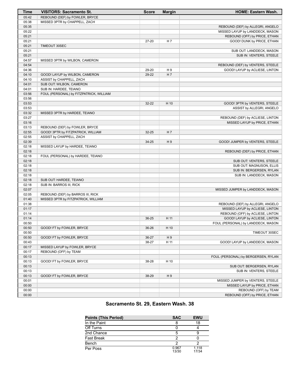| Time  | <b>VISITORS: Sacramento St.</b>         | <b>Score</b> | <b>Margin</b>  | <b>HOME: Eastern Wash.</b>          |
|-------|-----------------------------------------|--------------|----------------|-------------------------------------|
| 05:42 | REBOUND (DEF) by FOWLER, BRYCE          |              |                |                                     |
| 05:38 | MISSED 3PTR by CHAPPELL, ZACH           |              |                |                                     |
| 05:35 |                                         |              |                | REBOUND (DEF) by ALLEGRI, ANGELO    |
| 05:22 |                                         |              |                | MISSED LAYUP by LANDDECK, MASON     |
| 05:21 |                                         |              |                | REBOUND (OFF) by PRICE, ETHAN       |
| 05:21 |                                         | $27 - 20$    | H 7            | GOOD! DUNK by PRICE, ETHAN          |
| 05:21 | TIMEOUT 30SEC                           |              |                |                                     |
| 05:21 |                                         |              |                | SUB OUT: LANDDECK, MASON            |
| 05:21 |                                         |              |                | SUB IN: VENTERS, STEELE             |
| 04:57 | MISSED 3PTR by WILBON, CAMERON          |              |                |                                     |
| 04:54 |                                         |              |                | REBOUND (DEF) by VENTERS, STEELE    |
| 04:36 |                                         | 29-20        | H9             | GOOD! LAYUP by ACLIESE, LINTON      |
| 04:10 | GOOD! LAYUP by WILBON, CAMERON          | 29-22        | H <sub>7</sub> |                                     |
| 04:10 | ASSIST by CHAPPELL, ZACH                |              |                |                                     |
| 04:01 | SUB OUT: WILBON, CAMERON                |              |                |                                     |
| 04:01 | SUB IN: HARDEE, TEIANO                  |              |                |                                     |
| 03:56 | FOUL (PERSONAL) by FITZPATRICK, WILLIAM |              |                |                                     |
| 03:56 |                                         |              |                |                                     |
| 03:53 |                                         | $32 - 22$    | H 10           | GOOD! 3PTR by VENTERS, STEELE       |
| 03:53 |                                         |              |                | ASSIST by ALLEGRI, ANGELO           |
| 03:32 | MISSED 3PTR by HARDEE, TEIANO           |              |                |                                     |
| 03:27 |                                         |              |                | REBOUND (DEF) by ACLIESE, LINTON    |
| 03:16 |                                         |              |                | MISSED LAYUP by PRICE, ETHAN        |
| 03:13 | REBOUND (DEF) by FOWLER, BRYCE          |              |                |                                     |
| 02:55 | GOOD! 3PTR by FITZPATRICK, WILLIAM      | 32-25        | H <sub>7</sub> |                                     |
| 02:55 | ASSIST by CHAPPELL, ZACH                |              |                |                                     |
| 02:39 |                                         | 34-25        | H9             | GOOD! JUMPER by VENTERS, STEELE     |
| 02:18 | MISSED LAYUP by HARDEE, TEIANO          |              |                |                                     |
| 02:18 |                                         |              |                | REBOUND (DEF) by PRICE, ETHAN       |
| 02:18 | FOUL (PERSONAL) by HARDEE, TEIANO       |              |                |                                     |
| 02:18 |                                         |              |                | SUB OUT: VENTERS, STEELE            |
| 02:18 |                                         |              |                | SUB OUT: MAGNUSON, ELLIS            |
| 02:18 |                                         |              |                | SUB IN: BERGERSEN, RYLAN            |
| 02:18 |                                         |              |                | SUB IN: LANDDECK, MASON             |
| 02:18 | SUB OUT: HARDEE, TEIANO                 |              |                |                                     |
| 02:18 | SUB IN: BARROS III, RICK                |              |                |                                     |
| 02:07 |                                         |              |                | MISSED JUMPER by LANDDECK, MASON    |
| 02:05 | REBOUND (DEF) by BARROS III, RICK       |              |                |                                     |
| 01:40 | MISSED 3PTR by FITZPATRICK, WILLIAM     |              |                |                                     |
| 01:38 |                                         |              |                | REBOUND (DEF) by ALLEGRI, ANGELO    |
| 01:17 |                                         |              |                | MISSED LAYUP by ACLIESE, LINTON     |
| 01:14 |                                         |              |                | REBOUND (OFF) by ACLIESE, LINTON    |
| 01:14 |                                         | 36-25        | H 11           | GOOD! LAYUP by ACLIESE, LINTON      |
| 00:50 |                                         |              |                | FOUL (PERSONAL) by LANDDECK, MASON  |
| 00:50 | GOOD! FT by FOWLER, BRYCE               | 36-26        | H 10           |                                     |
| 00:50 |                                         |              |                | TIMEOUT 30SEC                       |
| 00:50 | GOOD! FT by FOWLER, BRYCE               | 36-27        | H9             |                                     |
| 00:43 |                                         | 38-27        | H 11           | GOOD! LAYUP by LANDDECK, MASON      |
| 00:17 | MISSED LAYUP by FOWLER, BRYCE           |              |                |                                     |
| 00:17 | REBOUND (OFF) by TEAM                   |              |                |                                     |
| 00:13 |                                         |              |                | FOUL (PERSONAL) by BERGERSEN, RYLAN |
| 00:13 | GOOD! FT by FOWLER, BRYCE               | 38-28        | H 10           |                                     |
| 00:13 |                                         |              |                | SUB OUT: BERGERSEN, RYLAN           |
| 00:13 |                                         |              |                | SUB IN: VENTERS, STEELE             |
| 00:13 | GOOD! FT by FOWLER, BRYCE               | 38-29        | H9             |                                     |
| 00:01 |                                         |              |                | MISSED JUMPER by VENTERS, STEELE    |
| 00:00 |                                         |              |                | MISSED LAYUP by PRICE, ETHAN        |
| 00:00 |                                         |              |                | REBOUND (OFF) by TEAM               |
| 00:00 |                                         |              |                | REBOUND (OFF) by PRICE, ETHAN       |

# **Sacramento St. 29, Eastern Wash. 38**

| <b>Points (This Period)</b> | <b>SAC</b>     | <b>EWU</b>     |
|-----------------------------|----------------|----------------|
| In the Paint                |                | 18             |
| Off Turns                   |                |                |
| 2nd Chance                  | 5              |                |
| <b>Fast Break</b>           |                |                |
| Bench                       |                |                |
| Per Poss                    | 0.967<br>13/30 | 1.118<br>17/34 |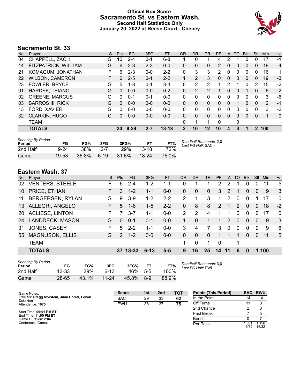# **Official Box Score Sacramento St. vs Eastern Wash. Second Half Statistics Only January 20, 2022 at Reese Court - Cheney**



# **Sacramento St. 33**

| No. | Plaver                  | S  | <b>Pts</b> | <b>FG</b> | 3FG     | <b>FT</b> | <b>OR</b> | DR       | TR             | <b>PF</b>      | A        | TO       | <b>B</b> lk | Stl          | Min | $+/-$        |
|-----|-------------------------|----|------------|-----------|---------|-----------|-----------|----------|----------------|----------------|----------|----------|-------------|--------------|-----|--------------|
| 04  | CHAPPELL, ZACH          | G  | 10         | $2 - 4$   | 0-1     | $6 - 8$   |           | 0        |                | 4              | 2        |          | 0           | 0            | 17  | $-1$         |
| 14  | FITZPATRICK, WILLIAM    | G  | 6          | $2 - 3$   | $2 - 3$ | $0 - 0$   | 0         | 0        | 0              | $\overline{2}$ | 0        | 0        | 0           | 0            | 19  | $-4$         |
| 21  | KOMAGUM, JONATHAN       | F. | 6          | $2 - 3$   | $0 - 0$ | $2 - 2$   | 0         | 3        | 3              | 2              | 0        | 0        | 0           | $\mathbf{0}$ | 16  | 1            |
| 22  | <b>WILBON, CAMERON</b>  | F. | 6          | $2 - 5$   | $0 - 1$ | $2 - 2$   |           | 2        | 3              | 0              | $\Omega$ | $\Omega$ | $\Omega$    | 0            | 19  | $-3$         |
| 23  | <b>FOWLER, BRYCE</b>    | G  | 5          | 1-8       | $0 - 1$ | $3 - 4$   | 0         | 2        | 2              |                | 2        |          | 0           | 2            | 15  | $-2$         |
| 01  | HARDEE, TEIANO          | G  | $\Omega$   | $0 - 0$   | $0 - 0$ | $0 - 2$   | 0         | 2        | $\overline{2}$ |                | 0        | 0        |             | 0            | 6   | $-2$         |
| 02  | <b>GREENE, MARCUS</b>   | G  | $\Omega$   | $0 - 1$   | $0 - 1$ | $0 - 0$   | 0         | $\Omega$ | 0              | 0              | 0        | 0        | $\Omega$    | $\Omega$     | 3   | -6           |
| 03  | <b>BARROS III, RICK</b> | G  | $\Omega$   | $0 - 0$   | $0 - 0$ | $0 - 0$   | 0         | $\Omega$ | $\Omega$       | 0              | 0        | 1        | $\Omega$    | $\mathbf{0}$ | 2   | $-1$         |
| 13  | FORD, XAVIER            | G  | 0          | $0 - 0$   | $0 - 0$ | $0 - 0$   | 0         | 0        | $\Omega$       | 0              | 0        | 0        | 0           | 0            | 3   | $-2$         |
| 32  | <b>CLARKIN, HUGO</b>    | C. | $\Omega$   | $0 - 0$   | $0 - 0$ | $0 - 0$   | 0         | 0        | 0              | 0              | 0        | 0        | $\Omega$    | 0            | 1   | $\mathbf{0}$ |
|     | <b>TEAM</b>             |    |            |           |         |           | 0         | 1        |                | 0              |          | 0        |             |              |     |              |
|     | <b>TOTALS</b>           |    | 33         | $9 - 24$  | $2 - 7$ | $13 - 18$ | 2         | 10       | 12             | 10             | 4        | 3        |             | $\mathbf 2$  | 100 |              |
|     |                         |    |            |           |         |           |           |          |                |                |          |          |             |              |     |              |

| <b>Shooting By Period</b><br>Period | FG       | FG%   | 3FG     | 3FG%  |         | FT%   | Deadball Rebounds: 2,0<br>Last FG Half: SAC - |
|-------------------------------------|----------|-------|---------|-------|---------|-------|-----------------------------------------------|
| 2nd Half                            | $9 - 24$ | 38%   | $2 - 7$ | 29%   | $13-18$ | 72%   |                                               |
| Game                                | 19-53    | 35.8% | $6-19$  | 31.6% | 18-24   | 75.0% |                                               |

# **Eastern Wash. 37**

| No.       | Player                  | S  | <b>Pts</b>    | <b>FG</b> | 3FG      | <b>FT</b> | OR           | <b>DR</b>     | <b>TR</b>    | <b>PF</b>      | A   | <b>TO</b> | <b>B</b> lk | Stl          | Min | $+/-$        |
|-----------|-------------------------|----|---------------|-----------|----------|-----------|--------------|---------------|--------------|----------------|-----|-----------|-------------|--------------|-----|--------------|
| 02        | <b>VENTERS, STEELE</b>  | F  | 6             | $2 - 4$   | $1 - 2$  | 1-1       | 0            |               |              | 2              | 2   |           | 0           | $\Omega$     | 11  | 5            |
| 10        | PRICE, ETHAN            | F. | 3             | $1 - 2$   | $1 - 1$  | $0-0$     | $\mathbf{0}$ | $\Omega$      | $\mathbf{0}$ | 3              | 2   |           | $\Omega$    | $\mathbf{0}$ | 9   | 3            |
| 11        | <b>BERGERSEN, RYLAN</b> | G  | 9             | $3-9$     | $1 - 2$  | $2 - 2$   | 2            | 1             | 3            | 1              | 2   | 0         | $\Omega$    |              | 17  | $\Omega$     |
| 13        | ALLEGRI, ANGELO         | F. | 5             | $1 - 6$   | $1 - 5$  | $2 - 2$   | $\mathbf{0}$ | 8             | 8            | $\overline{2}$ |     | 2         | $\Omega$    | $\Omega$     | 18  | $-2$         |
| <b>20</b> | <b>ACLIESE, LINTON</b>  | F. |               | $3 - 7$   | 1-1      | $0-0$     | 2            | $\mathcal{P}$ | 4            |                |     | 0         | $\Omega$    | $\Omega$     | 17  | $\Omega$     |
| 24        | <b>LANDDECK, MASON</b>  | G  | $\Omega$      | $0 - 1$   | $0 - 1$  | $0-0$     |              | $\Omega$      |              | 1              | 2   | $\Omega$  | $\Omega$    | $\Omega$     | 9   | $\mathbf{3}$ |
| 31        | JONES, CASEY            | F. | 5             | $2 - 2$   | 1-1      | $0-0$     | 3            | 4             |              | 3              | 0   | 0         | $\Omega$    | $\Omega$     | 9   | 6            |
| 55        | <b>MAGNUSON, ELLIS</b>  | G  | $\mathcal{P}$ | $1 - 2$   | $0 - 0$  | $0-0$     | $\Omega$     | $\Omega$      | $\Omega$     | 1              | 1   | 1         | $\Omega$    | $\Omega$     | 11  | 5            |
|           | <b>TEAM</b>             |    |               |           |          |           | 1            | 0             |              | $\Omega$       |     | 1         |             |              |     |              |
|           | <b>TOTALS</b>           |    |               | 37 13-33  | $6 - 13$ | $5 - 5$   | 9            | 16            | 25           | 14             | -11 | 6         | $\Omega$    | 1            | 100 |              |

| <b>Shooting By Period</b><br>Period | FG        | FG%   | 3FG       | 3FG%  |       | FT%   |
|-------------------------------------|-----------|-------|-----------|-------|-------|-------|
| 2nd Half                            | $13 - 33$ | 39%   | $6-13$    | 46%   | $5-5$ | 100%  |
| Game                                | $28 - 65$ | 43.1% | $11 - 24$ | 45.8% | $8-9$ | 88.9% |

*Deadball Rebounds:* 3,0 *Last FG Half:* EWU -

| Game Notes:                                                      | <b>Score</b> | 1st | 2 <sub>nd</sub> | <b>TOT</b> | <b>Points (This Period)</b> |                | SAC EWU        |
|------------------------------------------------------------------|--------------|-----|-----------------|------------|-----------------------------|----------------|----------------|
| Officials: Gregg Morstein, Juan Corral, Levon<br><b>Zakarian</b> | <b>SAC</b>   | 29  | 33              | 62         | In the Paint                |                | 14             |
| Attendance: 1075                                                 | EWU          | 38  | 37              | 75         | Off Turns                   |                |                |
|                                                                  |              |     |                 |            | 2nd Chance                  |                | 8              |
| Start Time: 09:01 PM ET<br>End Time: 11:05 PM ET                 |              |     |                 |            | <b>Fast Break</b>           |                |                |
| Game Duration: 2:04                                              |              |     |                 |            | Bench                       |                |                |
| Conference Game:                                                 |              |     |                 |            | Per Poss                    | 1.031<br>16/32 | 1.156<br>16/32 |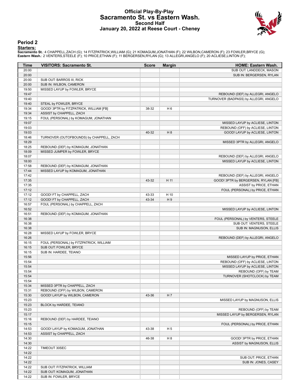# **Official Play-By-Play Sacramento St. vs Eastern Wash. Second Half January 20, 2022 at Reese Court - Cheney**



#### **Period 2**

#### **Starters:**

**Sacramento St.**: 4 CHAPPELL,ZACH (G); 14 FITZPATRICK,WILLIAM (G); 21 KOMAGUM,JONATHAN (F); 22 WILBON,CAMERON (F); 23 FOWLER,BRYCE (G);<br>**Eastern Wash.**: 2 VENTERS,STEELE (F); 10 PRICE,ETHAN (F); 11 BERGERSEN,RYLAN (G); 13

| Time           | <b>VISITORS: Sacramento St.</b>          | <b>Score</b> | <b>Margin</b>  | <b>HOME: Eastern Wash.</b>                                          |
|----------------|------------------------------------------|--------------|----------------|---------------------------------------------------------------------|
| 20:00          |                                          |              |                | SUB OUT: LANDDECK, MASON                                            |
| 20:00          |                                          |              |                | SUB IN: BERGERSEN, RYLAN                                            |
| 20:00          | SUB OUT: BARROS III, RICK                |              |                |                                                                     |
| 20:00          | SUB IN: WILBON, CAMERON                  |              |                |                                                                     |
| 19:50          | MISSED LAYUP by FOWLER, BRYCE            |              |                |                                                                     |
| 19:47          |                                          |              |                | REBOUND (DEF) by ALLEGRI, ANGELO                                    |
| 19:40          |                                          |              |                | TURNOVER (BADPASS) by ALLEGRI, ANGELO                               |
| 19:40          | STEAL by FOWLER, BRYCE                   |              |                |                                                                     |
| 19:34          | GOOD! 3PTR by FITZPATRICK, WILLIAM [FB]  | 38-32        | H <sub>6</sub> |                                                                     |
| 19:34<br>19:15 | ASSIST by CHAPPELL, ZACH                 |              |                |                                                                     |
| 19:07          | FOUL (PERSONAL) by KOMAGUM, JONATHAN     |              |                |                                                                     |
| 19:03          |                                          |              |                | MISSED LAYUP by ACLIESE, LINTON<br>REBOUND (OFF) by ACLIESE, LINTON |
| 19:03          |                                          | 40-32        | H 8            | GOOD! LAYUP by ACLIESE, LINTON                                      |
| 18:46          | TURNOVER (OUTOFBOUNDS) by CHAPPELL, ZACH |              |                |                                                                     |
| 18:29          |                                          |              |                | MISSED 3PTR by ALLEGRI, ANGELO                                      |
| 18:25          | REBOUND (DEF) by KOMAGUM, JONATHAN       |              |                |                                                                     |
| 18:09          | MISSED JUMPER by FOWLER, BRYCE           |              |                |                                                                     |
| 18:07          |                                          |              |                | REBOUND (DEF) by ALLEGRI, ANGELO                                    |
| 18:00          |                                          |              |                | MISSED LAYUP by ACLIESE, LINTON                                     |
| 17:58          | REBOUND (DEF) by KOMAGUM, JONATHAN       |              |                |                                                                     |
| 17:44          | MISSED LAYUP by KOMAGUM, JONATHAN        |              |                |                                                                     |
| 17:42          |                                          |              |                | REBOUND (DEF) by ALLEGRI, ANGELO                                    |
| 17:35          |                                          | 43-32        | H 11           | GOOD! 3PTR by BERGERSEN, RYLAN [FB]                                 |
| 17:35          |                                          |              |                | ASSIST by PRICE, ETHAN                                              |
| 17:12          |                                          |              |                | FOUL (PERSONAL) by PRICE, ETHAN                                     |
| 17:12          | GOOD! FT by CHAPPELL, ZACH               | 43-33        | H 10           |                                                                     |
| 17:12          | GOOD! FT by CHAPPELL, ZACH               | 43-34        | H9             |                                                                     |
| 16:57          | FOUL (PERSONAL) by CHAPPELL, ZACH        |              |                |                                                                     |
| 16:52          |                                          |              |                | MISSED LAYUP by ACLIESE, LINTON                                     |
| 16:51          | REBOUND (DEF) by KOMAGUM, JONATHAN       |              |                |                                                                     |
| 16:38          |                                          |              |                | FOUL (PERSONAL) by VENTERS, STEELE                                  |
| 16:38          |                                          |              |                | SUB OUT: VENTERS, STEELE                                            |
| 16:38          |                                          |              |                | SUB IN: MAGNUSON, ELLIS                                             |
| 16:28          | MISSED LAYUP by FOWLER, BRYCE            |              |                |                                                                     |
| 16:26          |                                          |              |                | REBOUND (DEF) by ALLEGRI, ANGELO                                    |
| 16:15          | FOUL (PERSONAL) by FITZPATRICK, WILLIAM  |              |                |                                                                     |
| 16:15          | SUB OUT: FOWLER, BRYCE                   |              |                |                                                                     |
| 16:15          | SUB IN: HARDEE, TEIANO                   |              |                |                                                                     |
| 15:56          |                                          |              |                | MISSED LAYUP by PRICE, ETHAN                                        |
| 15:54          |                                          |              |                | REBOUND (OFF) by ACLIESE, LINTON                                    |
| 15:54          |                                          |              |                | MISSED LAYUP by ACLIESE, LINTON                                     |
| 15:54          |                                          |              |                | REBOUND (OFF) by TEAM                                               |
| 15:54          |                                          |              |                | TURNOVER (SHOTCLOCK) by TEAM                                        |
| 15:54          |                                          |              |                |                                                                     |
| 15:34          | MISSED 3PTR by CHAPPELL, ZACH            |              |                |                                                                     |
| 15:31          | REBOUND (OFF) by WILBON, CAMERON         |              |                |                                                                     |
| 15:30          | GOOD! LAYUP by WILBON, CAMERON           | 43-36        | H 7            |                                                                     |
| 15:23          |                                          |              |                | MISSED LAYUP by MAGNUSON, ELLIS                                     |
| 15:23          | BLOCK by HARDEE, TEIANO                  |              |                |                                                                     |
| 15:23          |                                          |              |                | REBOUND (OFF) by TEAM                                               |
| 15:17          |                                          |              |                | MISSED LAYUP by BERGERSEN, RYLAN                                    |
| 15:16          | REBOUND (DEF) by HARDEE, TEIANO          |              |                |                                                                     |
| 15:15          |                                          |              |                | FOUL (PERSONAL) by PRICE, ETHAN                                     |
| 14:53          | GOOD! LAYUP by KOMAGUM, JONATHAN         | 43-38        | H 5            |                                                                     |
| 14:53          | ASSIST by CHAPPELL, ZACH                 |              |                |                                                                     |
| 14:30          |                                          | 46-38        | H 8            | GOOD! 3PTR by PRICE, ETHAN                                          |
| 14:30          |                                          |              |                | ASSIST by MAGNUSON, ELLIS                                           |
| 14:22          | TIMEOUT 30SEC                            |              |                |                                                                     |
| 14:22          |                                          |              |                |                                                                     |
| 14:22          |                                          |              |                | SUB OUT: PRICE, ETHAN                                               |
| 14:22          |                                          |              |                | SUB IN: JONES, CASEY                                                |
| 14:22          | SUB OUT: FITZPATRICK, WILLIAM            |              |                |                                                                     |
| 14:22          | SUB OUT: KOMAGUM, JONATHAN               |              |                |                                                                     |
| 14:22          | SUB IN: FOWLER, BRYCE                    |              |                |                                                                     |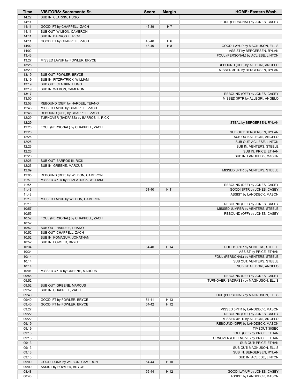| SUB IN: CLARKIN, HUGO<br>14:22<br>14:11<br>FOUL (PERSONAL) by JONES, CASEY<br>14:11<br>GOOD! FT by CHAPPELL, ZACH<br>H 7<br>46-39<br>14:11<br>SUB OUT: WILBON, CAMERON<br>14:11<br>SUB IN: BARROS III, RICK<br>14:11<br>H <sub>6</sub><br>GOOD! FT by CHAPPELL, ZACH<br>46-40<br>H 8<br>14:02<br>48-40<br>GOOD! LAYUP by MAGNUSON, ELLIS<br>14:02<br>ASSIST by BERGERSEN, RYLAN<br>13:43<br>FOUL (PERSONAL) by ACLIESE, LINTON<br>13:27<br>MISSED LAYUP by FOWLER, BRYCE<br>13:25<br>REBOUND (DEF) by ALLEGRI, ANGELO<br>13:20<br>MISSED 3PTR by BERGERSEN, RYLAN<br>13:19<br>SUB OUT: FOWLER, BRYCE<br>13:19<br>SUB IN: FITZPATRICK, WILLIAM<br>13:19<br>SUB OUT: CLARKIN, HUGO<br>13:19<br>SUB IN: WILBON, CAMERON<br>13:17<br>REBOUND (OFF) by JONES, CASEY<br>13:00<br>MISSED 3PTR by ALLEGRI, ANGELO<br>12:58<br>REBOUND (DEF) by HARDEE, TEIANO<br>12:48<br>MISSED LAYUP by CHAPPELL, ZACH<br>12:46<br>REBOUND (OFF) by CHAPPELL, ZACH<br>12:29<br>TURNOVER (BADPASS) by BARROS III, RICK<br>12:29<br>STEAL by BERGERSEN, RYLAN<br>12:26<br>FOUL (PERSONAL) by CHAPPELL, ZACH<br>12:26<br>SUB OUT: BERGERSEN, RYLAN<br>12:26<br>SUB OUT: ALLEGRI, ANGELO<br>12:26<br>SUB OUT: ACLIESE, LINTON<br>12:26<br>SUB IN: VENTERS, STEELE<br>12:26<br>SUB IN: PRICE, ETHAN<br>12:26<br>SUB IN: LANDDECK, MASON<br>12:26<br>SUB OUT: BARROS III, RICK<br>12:26<br>SUB IN: GREENE, MARCUS<br>12:09<br>MISSED 3PTR by VENTERS, STEELE<br>12:05<br>REBOUND (DEF) by WILBON, CAMERON<br>11:59<br>MISSED 3PTR by FITZPATRICK, WILLIAM<br>11:55<br>REBOUND (DEF) by JONES, CASEY<br>11:43<br>51-40<br>H 11<br>GOOD! 3PTR by JONES, CASEY<br>11:43<br>ASSIST by LANDDECK, MASON<br>11:19<br>MISSED LAYUP by WILBON, CAMERON<br>11:15<br>REBOUND (DEF) by JONES, CASEY<br>10:57<br>MISSED JUMPER by VENTERS, STEELE<br>10:55<br>REBOUND (OFF) by JONES, CASEY<br>10:52<br>FOUL (PERSONAL) by CHAPPELL, ZACH<br>10:52<br>10:52<br>SUB OUT: HARDEE, TEIANO<br>10:52<br>SUB OUT: CHAPPELL, ZACH<br>10:52<br>SUB IN: KOMAGUM, JONATHAN<br>10:52<br>SUB IN: FOWLER, BRYCE<br>10:34<br>H 14<br>54-40<br>GOOD! 3PTR by VENTERS, STEELE<br>ASSIST by PRICE, ETHAN<br>10:34<br>10:14<br>FOUL (PERSONAL) by VENTERS, STEELE<br>10:14<br>SUB OUT: VENTERS, STEELE<br>10:14<br>SUB IN: ALLEGRI, ANGELO<br>10:01<br>MISSED 3PTR by GREENE, MARCUS<br>09:58<br>REBOUND (DEF) by JONES, CASEY<br>09:52<br>TURNOVER (BADPASS) by MAGNUSON, ELLIS<br>09:52<br>SUB OUT: GREENE, MARCUS<br>09:52<br>SUB IN: CHAPPELL, ZACH<br>09:40<br>FOUL (PERSONAL) by MAGNUSON, ELLIS<br>09:40<br>GOOD! FT by FOWLER, BRYCE<br>H 13<br>54-41<br>H 12<br>09:40<br>GOOD! FT by FOWLER, BRYCE<br>54-42<br>09:27<br>MISSED 3PTR by LANDDECK, MASON<br>09:22<br>REBOUND (OFF) by JONES, CASEY<br>09:22<br>MISSED 3PTR by ALLEGRI, ANGELO<br>09:19<br>REBOUND (OFF) by LANDDECK, MASON<br>09:19<br>TIMEOUT 30SEC<br>09:13<br>FOUL (OFF) by PRICE, ETHAN<br>09:13<br>TURNOVER (OFFENSIVE) by PRICE, ETHAN<br>09:13<br>SUB OUT: PRICE, ETHAN<br>09:13<br>SUB OUT: MAGNUSON, ELLIS<br>09:13<br>SUB IN: BERGERSEN, RYLAN<br>09:13<br>SUB IN: ACLIESE, LINTON<br>09:00<br>54-44<br>H 10<br>GOOD! DUNK by WILBON, CAMERON<br>09:00<br>ASSIST by FOWLER, BRYCE<br>08:48<br>H 12<br>GOOD! LAYUP by JONES, CASEY<br>56-44<br>08:48<br>ASSIST by LANDDECK, MASON | <b>Time</b> | <b>VISITORS: Sacramento St.</b> | <b>Score</b> | <b>Margin</b> | HOME: Eastern Wash. |
|--------------------------------------------------------------------------------------------------------------------------------------------------------------------------------------------------------------------------------------------------------------------------------------------------------------------------------------------------------------------------------------------------------------------------------------------------------------------------------------------------------------------------------------------------------------------------------------------------------------------------------------------------------------------------------------------------------------------------------------------------------------------------------------------------------------------------------------------------------------------------------------------------------------------------------------------------------------------------------------------------------------------------------------------------------------------------------------------------------------------------------------------------------------------------------------------------------------------------------------------------------------------------------------------------------------------------------------------------------------------------------------------------------------------------------------------------------------------------------------------------------------------------------------------------------------------------------------------------------------------------------------------------------------------------------------------------------------------------------------------------------------------------------------------------------------------------------------------------------------------------------------------------------------------------------------------------------------------------------------------------------------------------------------------------------------------------------------------------------------------------------------------------------------------------------------------------------------------------------------------------------------------------------------------------------------------------------------------------------------------------------------------------------------------------------------------------------------------------------------------------------------------------------------------------------------------------------------------------------------------------------------------------------------------------------------------------------------------------------------------------------------------------------------------------------------------------------------------------------------------------------------------------------------------------------------------------------------------------------------------------------------------------------------------------------------------------------------------------------------------------------------------------------------------------------------------------------------------------------------------------------------------------------------------------------|-------------|---------------------------------|--------------|---------------|---------------------|
|                                                                                                                                                                                                                                                                                                                                                                                                                                                                                                                                                                                                                                                                                                                                                                                                                                                                                                                                                                                                                                                                                                                                                                                                                                                                                                                                                                                                                                                                                                                                                                                                                                                                                                                                                                                                                                                                                                                                                                                                                                                                                                                                                                                                                                                                                                                                                                                                                                                                                                                                                                                                                                                                                                                                                                                                                                                                                                                                                                                                                                                                                                                                                                                                                                                                                                        |             |                                 |              |               |                     |
|                                                                                                                                                                                                                                                                                                                                                                                                                                                                                                                                                                                                                                                                                                                                                                                                                                                                                                                                                                                                                                                                                                                                                                                                                                                                                                                                                                                                                                                                                                                                                                                                                                                                                                                                                                                                                                                                                                                                                                                                                                                                                                                                                                                                                                                                                                                                                                                                                                                                                                                                                                                                                                                                                                                                                                                                                                                                                                                                                                                                                                                                                                                                                                                                                                                                                                        |             |                                 |              |               |                     |
|                                                                                                                                                                                                                                                                                                                                                                                                                                                                                                                                                                                                                                                                                                                                                                                                                                                                                                                                                                                                                                                                                                                                                                                                                                                                                                                                                                                                                                                                                                                                                                                                                                                                                                                                                                                                                                                                                                                                                                                                                                                                                                                                                                                                                                                                                                                                                                                                                                                                                                                                                                                                                                                                                                                                                                                                                                                                                                                                                                                                                                                                                                                                                                                                                                                                                                        |             |                                 |              |               |                     |
|                                                                                                                                                                                                                                                                                                                                                                                                                                                                                                                                                                                                                                                                                                                                                                                                                                                                                                                                                                                                                                                                                                                                                                                                                                                                                                                                                                                                                                                                                                                                                                                                                                                                                                                                                                                                                                                                                                                                                                                                                                                                                                                                                                                                                                                                                                                                                                                                                                                                                                                                                                                                                                                                                                                                                                                                                                                                                                                                                                                                                                                                                                                                                                                                                                                                                                        |             |                                 |              |               |                     |
|                                                                                                                                                                                                                                                                                                                                                                                                                                                                                                                                                                                                                                                                                                                                                                                                                                                                                                                                                                                                                                                                                                                                                                                                                                                                                                                                                                                                                                                                                                                                                                                                                                                                                                                                                                                                                                                                                                                                                                                                                                                                                                                                                                                                                                                                                                                                                                                                                                                                                                                                                                                                                                                                                                                                                                                                                                                                                                                                                                                                                                                                                                                                                                                                                                                                                                        |             |                                 |              |               |                     |
|                                                                                                                                                                                                                                                                                                                                                                                                                                                                                                                                                                                                                                                                                                                                                                                                                                                                                                                                                                                                                                                                                                                                                                                                                                                                                                                                                                                                                                                                                                                                                                                                                                                                                                                                                                                                                                                                                                                                                                                                                                                                                                                                                                                                                                                                                                                                                                                                                                                                                                                                                                                                                                                                                                                                                                                                                                                                                                                                                                                                                                                                                                                                                                                                                                                                                                        |             |                                 |              |               |                     |
|                                                                                                                                                                                                                                                                                                                                                                                                                                                                                                                                                                                                                                                                                                                                                                                                                                                                                                                                                                                                                                                                                                                                                                                                                                                                                                                                                                                                                                                                                                                                                                                                                                                                                                                                                                                                                                                                                                                                                                                                                                                                                                                                                                                                                                                                                                                                                                                                                                                                                                                                                                                                                                                                                                                                                                                                                                                                                                                                                                                                                                                                                                                                                                                                                                                                                                        |             |                                 |              |               |                     |
|                                                                                                                                                                                                                                                                                                                                                                                                                                                                                                                                                                                                                                                                                                                                                                                                                                                                                                                                                                                                                                                                                                                                                                                                                                                                                                                                                                                                                                                                                                                                                                                                                                                                                                                                                                                                                                                                                                                                                                                                                                                                                                                                                                                                                                                                                                                                                                                                                                                                                                                                                                                                                                                                                                                                                                                                                                                                                                                                                                                                                                                                                                                                                                                                                                                                                                        |             |                                 |              |               |                     |
|                                                                                                                                                                                                                                                                                                                                                                                                                                                                                                                                                                                                                                                                                                                                                                                                                                                                                                                                                                                                                                                                                                                                                                                                                                                                                                                                                                                                                                                                                                                                                                                                                                                                                                                                                                                                                                                                                                                                                                                                                                                                                                                                                                                                                                                                                                                                                                                                                                                                                                                                                                                                                                                                                                                                                                                                                                                                                                                                                                                                                                                                                                                                                                                                                                                                                                        |             |                                 |              |               |                     |
|                                                                                                                                                                                                                                                                                                                                                                                                                                                                                                                                                                                                                                                                                                                                                                                                                                                                                                                                                                                                                                                                                                                                                                                                                                                                                                                                                                                                                                                                                                                                                                                                                                                                                                                                                                                                                                                                                                                                                                                                                                                                                                                                                                                                                                                                                                                                                                                                                                                                                                                                                                                                                                                                                                                                                                                                                                                                                                                                                                                                                                                                                                                                                                                                                                                                                                        |             |                                 |              |               |                     |
|                                                                                                                                                                                                                                                                                                                                                                                                                                                                                                                                                                                                                                                                                                                                                                                                                                                                                                                                                                                                                                                                                                                                                                                                                                                                                                                                                                                                                                                                                                                                                                                                                                                                                                                                                                                                                                                                                                                                                                                                                                                                                                                                                                                                                                                                                                                                                                                                                                                                                                                                                                                                                                                                                                                                                                                                                                                                                                                                                                                                                                                                                                                                                                                                                                                                                                        |             |                                 |              |               |                     |
|                                                                                                                                                                                                                                                                                                                                                                                                                                                                                                                                                                                                                                                                                                                                                                                                                                                                                                                                                                                                                                                                                                                                                                                                                                                                                                                                                                                                                                                                                                                                                                                                                                                                                                                                                                                                                                                                                                                                                                                                                                                                                                                                                                                                                                                                                                                                                                                                                                                                                                                                                                                                                                                                                                                                                                                                                                                                                                                                                                                                                                                                                                                                                                                                                                                                                                        |             |                                 |              |               |                     |
|                                                                                                                                                                                                                                                                                                                                                                                                                                                                                                                                                                                                                                                                                                                                                                                                                                                                                                                                                                                                                                                                                                                                                                                                                                                                                                                                                                                                                                                                                                                                                                                                                                                                                                                                                                                                                                                                                                                                                                                                                                                                                                                                                                                                                                                                                                                                                                                                                                                                                                                                                                                                                                                                                                                                                                                                                                                                                                                                                                                                                                                                                                                                                                                                                                                                                                        |             |                                 |              |               |                     |
|                                                                                                                                                                                                                                                                                                                                                                                                                                                                                                                                                                                                                                                                                                                                                                                                                                                                                                                                                                                                                                                                                                                                                                                                                                                                                                                                                                                                                                                                                                                                                                                                                                                                                                                                                                                                                                                                                                                                                                                                                                                                                                                                                                                                                                                                                                                                                                                                                                                                                                                                                                                                                                                                                                                                                                                                                                                                                                                                                                                                                                                                                                                                                                                                                                                                                                        |             |                                 |              |               |                     |
|                                                                                                                                                                                                                                                                                                                                                                                                                                                                                                                                                                                                                                                                                                                                                                                                                                                                                                                                                                                                                                                                                                                                                                                                                                                                                                                                                                                                                                                                                                                                                                                                                                                                                                                                                                                                                                                                                                                                                                                                                                                                                                                                                                                                                                                                                                                                                                                                                                                                                                                                                                                                                                                                                                                                                                                                                                                                                                                                                                                                                                                                                                                                                                                                                                                                                                        |             |                                 |              |               |                     |
|                                                                                                                                                                                                                                                                                                                                                                                                                                                                                                                                                                                                                                                                                                                                                                                                                                                                                                                                                                                                                                                                                                                                                                                                                                                                                                                                                                                                                                                                                                                                                                                                                                                                                                                                                                                                                                                                                                                                                                                                                                                                                                                                                                                                                                                                                                                                                                                                                                                                                                                                                                                                                                                                                                                                                                                                                                                                                                                                                                                                                                                                                                                                                                                                                                                                                                        |             |                                 |              |               |                     |
|                                                                                                                                                                                                                                                                                                                                                                                                                                                                                                                                                                                                                                                                                                                                                                                                                                                                                                                                                                                                                                                                                                                                                                                                                                                                                                                                                                                                                                                                                                                                                                                                                                                                                                                                                                                                                                                                                                                                                                                                                                                                                                                                                                                                                                                                                                                                                                                                                                                                                                                                                                                                                                                                                                                                                                                                                                                                                                                                                                                                                                                                                                                                                                                                                                                                                                        |             |                                 |              |               |                     |
|                                                                                                                                                                                                                                                                                                                                                                                                                                                                                                                                                                                                                                                                                                                                                                                                                                                                                                                                                                                                                                                                                                                                                                                                                                                                                                                                                                                                                                                                                                                                                                                                                                                                                                                                                                                                                                                                                                                                                                                                                                                                                                                                                                                                                                                                                                                                                                                                                                                                                                                                                                                                                                                                                                                                                                                                                                                                                                                                                                                                                                                                                                                                                                                                                                                                                                        |             |                                 |              |               |                     |
|                                                                                                                                                                                                                                                                                                                                                                                                                                                                                                                                                                                                                                                                                                                                                                                                                                                                                                                                                                                                                                                                                                                                                                                                                                                                                                                                                                                                                                                                                                                                                                                                                                                                                                                                                                                                                                                                                                                                                                                                                                                                                                                                                                                                                                                                                                                                                                                                                                                                                                                                                                                                                                                                                                                                                                                                                                                                                                                                                                                                                                                                                                                                                                                                                                                                                                        |             |                                 |              |               |                     |
|                                                                                                                                                                                                                                                                                                                                                                                                                                                                                                                                                                                                                                                                                                                                                                                                                                                                                                                                                                                                                                                                                                                                                                                                                                                                                                                                                                                                                                                                                                                                                                                                                                                                                                                                                                                                                                                                                                                                                                                                                                                                                                                                                                                                                                                                                                                                                                                                                                                                                                                                                                                                                                                                                                                                                                                                                                                                                                                                                                                                                                                                                                                                                                                                                                                                                                        |             |                                 |              |               |                     |
|                                                                                                                                                                                                                                                                                                                                                                                                                                                                                                                                                                                                                                                                                                                                                                                                                                                                                                                                                                                                                                                                                                                                                                                                                                                                                                                                                                                                                                                                                                                                                                                                                                                                                                                                                                                                                                                                                                                                                                                                                                                                                                                                                                                                                                                                                                                                                                                                                                                                                                                                                                                                                                                                                                                                                                                                                                                                                                                                                                                                                                                                                                                                                                                                                                                                                                        |             |                                 |              |               |                     |
|                                                                                                                                                                                                                                                                                                                                                                                                                                                                                                                                                                                                                                                                                                                                                                                                                                                                                                                                                                                                                                                                                                                                                                                                                                                                                                                                                                                                                                                                                                                                                                                                                                                                                                                                                                                                                                                                                                                                                                                                                                                                                                                                                                                                                                                                                                                                                                                                                                                                                                                                                                                                                                                                                                                                                                                                                                                                                                                                                                                                                                                                                                                                                                                                                                                                                                        |             |                                 |              |               |                     |
|                                                                                                                                                                                                                                                                                                                                                                                                                                                                                                                                                                                                                                                                                                                                                                                                                                                                                                                                                                                                                                                                                                                                                                                                                                                                                                                                                                                                                                                                                                                                                                                                                                                                                                                                                                                                                                                                                                                                                                                                                                                                                                                                                                                                                                                                                                                                                                                                                                                                                                                                                                                                                                                                                                                                                                                                                                                                                                                                                                                                                                                                                                                                                                                                                                                                                                        |             |                                 |              |               |                     |
|                                                                                                                                                                                                                                                                                                                                                                                                                                                                                                                                                                                                                                                                                                                                                                                                                                                                                                                                                                                                                                                                                                                                                                                                                                                                                                                                                                                                                                                                                                                                                                                                                                                                                                                                                                                                                                                                                                                                                                                                                                                                                                                                                                                                                                                                                                                                                                                                                                                                                                                                                                                                                                                                                                                                                                                                                                                                                                                                                                                                                                                                                                                                                                                                                                                                                                        |             |                                 |              |               |                     |
|                                                                                                                                                                                                                                                                                                                                                                                                                                                                                                                                                                                                                                                                                                                                                                                                                                                                                                                                                                                                                                                                                                                                                                                                                                                                                                                                                                                                                                                                                                                                                                                                                                                                                                                                                                                                                                                                                                                                                                                                                                                                                                                                                                                                                                                                                                                                                                                                                                                                                                                                                                                                                                                                                                                                                                                                                                                                                                                                                                                                                                                                                                                                                                                                                                                                                                        |             |                                 |              |               |                     |
|                                                                                                                                                                                                                                                                                                                                                                                                                                                                                                                                                                                                                                                                                                                                                                                                                                                                                                                                                                                                                                                                                                                                                                                                                                                                                                                                                                                                                                                                                                                                                                                                                                                                                                                                                                                                                                                                                                                                                                                                                                                                                                                                                                                                                                                                                                                                                                                                                                                                                                                                                                                                                                                                                                                                                                                                                                                                                                                                                                                                                                                                                                                                                                                                                                                                                                        |             |                                 |              |               |                     |
|                                                                                                                                                                                                                                                                                                                                                                                                                                                                                                                                                                                                                                                                                                                                                                                                                                                                                                                                                                                                                                                                                                                                                                                                                                                                                                                                                                                                                                                                                                                                                                                                                                                                                                                                                                                                                                                                                                                                                                                                                                                                                                                                                                                                                                                                                                                                                                                                                                                                                                                                                                                                                                                                                                                                                                                                                                                                                                                                                                                                                                                                                                                                                                                                                                                                                                        |             |                                 |              |               |                     |
|                                                                                                                                                                                                                                                                                                                                                                                                                                                                                                                                                                                                                                                                                                                                                                                                                                                                                                                                                                                                                                                                                                                                                                                                                                                                                                                                                                                                                                                                                                                                                                                                                                                                                                                                                                                                                                                                                                                                                                                                                                                                                                                                                                                                                                                                                                                                                                                                                                                                                                                                                                                                                                                                                                                                                                                                                                                                                                                                                                                                                                                                                                                                                                                                                                                                                                        |             |                                 |              |               |                     |
|                                                                                                                                                                                                                                                                                                                                                                                                                                                                                                                                                                                                                                                                                                                                                                                                                                                                                                                                                                                                                                                                                                                                                                                                                                                                                                                                                                                                                                                                                                                                                                                                                                                                                                                                                                                                                                                                                                                                                                                                                                                                                                                                                                                                                                                                                                                                                                                                                                                                                                                                                                                                                                                                                                                                                                                                                                                                                                                                                                                                                                                                                                                                                                                                                                                                                                        |             |                                 |              |               |                     |
|                                                                                                                                                                                                                                                                                                                                                                                                                                                                                                                                                                                                                                                                                                                                                                                                                                                                                                                                                                                                                                                                                                                                                                                                                                                                                                                                                                                                                                                                                                                                                                                                                                                                                                                                                                                                                                                                                                                                                                                                                                                                                                                                                                                                                                                                                                                                                                                                                                                                                                                                                                                                                                                                                                                                                                                                                                                                                                                                                                                                                                                                                                                                                                                                                                                                                                        |             |                                 |              |               |                     |
|                                                                                                                                                                                                                                                                                                                                                                                                                                                                                                                                                                                                                                                                                                                                                                                                                                                                                                                                                                                                                                                                                                                                                                                                                                                                                                                                                                                                                                                                                                                                                                                                                                                                                                                                                                                                                                                                                                                                                                                                                                                                                                                                                                                                                                                                                                                                                                                                                                                                                                                                                                                                                                                                                                                                                                                                                                                                                                                                                                                                                                                                                                                                                                                                                                                                                                        |             |                                 |              |               |                     |
|                                                                                                                                                                                                                                                                                                                                                                                                                                                                                                                                                                                                                                                                                                                                                                                                                                                                                                                                                                                                                                                                                                                                                                                                                                                                                                                                                                                                                                                                                                                                                                                                                                                                                                                                                                                                                                                                                                                                                                                                                                                                                                                                                                                                                                                                                                                                                                                                                                                                                                                                                                                                                                                                                                                                                                                                                                                                                                                                                                                                                                                                                                                                                                                                                                                                                                        |             |                                 |              |               |                     |
|                                                                                                                                                                                                                                                                                                                                                                                                                                                                                                                                                                                                                                                                                                                                                                                                                                                                                                                                                                                                                                                                                                                                                                                                                                                                                                                                                                                                                                                                                                                                                                                                                                                                                                                                                                                                                                                                                                                                                                                                                                                                                                                                                                                                                                                                                                                                                                                                                                                                                                                                                                                                                                                                                                                                                                                                                                                                                                                                                                                                                                                                                                                                                                                                                                                                                                        |             |                                 |              |               |                     |
|                                                                                                                                                                                                                                                                                                                                                                                                                                                                                                                                                                                                                                                                                                                                                                                                                                                                                                                                                                                                                                                                                                                                                                                                                                                                                                                                                                                                                                                                                                                                                                                                                                                                                                                                                                                                                                                                                                                                                                                                                                                                                                                                                                                                                                                                                                                                                                                                                                                                                                                                                                                                                                                                                                                                                                                                                                                                                                                                                                                                                                                                                                                                                                                                                                                                                                        |             |                                 |              |               |                     |
|                                                                                                                                                                                                                                                                                                                                                                                                                                                                                                                                                                                                                                                                                                                                                                                                                                                                                                                                                                                                                                                                                                                                                                                                                                                                                                                                                                                                                                                                                                                                                                                                                                                                                                                                                                                                                                                                                                                                                                                                                                                                                                                                                                                                                                                                                                                                                                                                                                                                                                                                                                                                                                                                                                                                                                                                                                                                                                                                                                                                                                                                                                                                                                                                                                                                                                        |             |                                 |              |               |                     |
|                                                                                                                                                                                                                                                                                                                                                                                                                                                                                                                                                                                                                                                                                                                                                                                                                                                                                                                                                                                                                                                                                                                                                                                                                                                                                                                                                                                                                                                                                                                                                                                                                                                                                                                                                                                                                                                                                                                                                                                                                                                                                                                                                                                                                                                                                                                                                                                                                                                                                                                                                                                                                                                                                                                                                                                                                                                                                                                                                                                                                                                                                                                                                                                                                                                                                                        |             |                                 |              |               |                     |
|                                                                                                                                                                                                                                                                                                                                                                                                                                                                                                                                                                                                                                                                                                                                                                                                                                                                                                                                                                                                                                                                                                                                                                                                                                                                                                                                                                                                                                                                                                                                                                                                                                                                                                                                                                                                                                                                                                                                                                                                                                                                                                                                                                                                                                                                                                                                                                                                                                                                                                                                                                                                                                                                                                                                                                                                                                                                                                                                                                                                                                                                                                                                                                                                                                                                                                        |             |                                 |              |               |                     |
|                                                                                                                                                                                                                                                                                                                                                                                                                                                                                                                                                                                                                                                                                                                                                                                                                                                                                                                                                                                                                                                                                                                                                                                                                                                                                                                                                                                                                                                                                                                                                                                                                                                                                                                                                                                                                                                                                                                                                                                                                                                                                                                                                                                                                                                                                                                                                                                                                                                                                                                                                                                                                                                                                                                                                                                                                                                                                                                                                                                                                                                                                                                                                                                                                                                                                                        |             |                                 |              |               |                     |
|                                                                                                                                                                                                                                                                                                                                                                                                                                                                                                                                                                                                                                                                                                                                                                                                                                                                                                                                                                                                                                                                                                                                                                                                                                                                                                                                                                                                                                                                                                                                                                                                                                                                                                                                                                                                                                                                                                                                                                                                                                                                                                                                                                                                                                                                                                                                                                                                                                                                                                                                                                                                                                                                                                                                                                                                                                                                                                                                                                                                                                                                                                                                                                                                                                                                                                        |             |                                 |              |               |                     |
|                                                                                                                                                                                                                                                                                                                                                                                                                                                                                                                                                                                                                                                                                                                                                                                                                                                                                                                                                                                                                                                                                                                                                                                                                                                                                                                                                                                                                                                                                                                                                                                                                                                                                                                                                                                                                                                                                                                                                                                                                                                                                                                                                                                                                                                                                                                                                                                                                                                                                                                                                                                                                                                                                                                                                                                                                                                                                                                                                                                                                                                                                                                                                                                                                                                                                                        |             |                                 |              |               |                     |
|                                                                                                                                                                                                                                                                                                                                                                                                                                                                                                                                                                                                                                                                                                                                                                                                                                                                                                                                                                                                                                                                                                                                                                                                                                                                                                                                                                                                                                                                                                                                                                                                                                                                                                                                                                                                                                                                                                                                                                                                                                                                                                                                                                                                                                                                                                                                                                                                                                                                                                                                                                                                                                                                                                                                                                                                                                                                                                                                                                                                                                                                                                                                                                                                                                                                                                        |             |                                 |              |               |                     |
|                                                                                                                                                                                                                                                                                                                                                                                                                                                                                                                                                                                                                                                                                                                                                                                                                                                                                                                                                                                                                                                                                                                                                                                                                                                                                                                                                                                                                                                                                                                                                                                                                                                                                                                                                                                                                                                                                                                                                                                                                                                                                                                                                                                                                                                                                                                                                                                                                                                                                                                                                                                                                                                                                                                                                                                                                                                                                                                                                                                                                                                                                                                                                                                                                                                                                                        |             |                                 |              |               |                     |
|                                                                                                                                                                                                                                                                                                                                                                                                                                                                                                                                                                                                                                                                                                                                                                                                                                                                                                                                                                                                                                                                                                                                                                                                                                                                                                                                                                                                                                                                                                                                                                                                                                                                                                                                                                                                                                                                                                                                                                                                                                                                                                                                                                                                                                                                                                                                                                                                                                                                                                                                                                                                                                                                                                                                                                                                                                                                                                                                                                                                                                                                                                                                                                                                                                                                                                        |             |                                 |              |               |                     |
|                                                                                                                                                                                                                                                                                                                                                                                                                                                                                                                                                                                                                                                                                                                                                                                                                                                                                                                                                                                                                                                                                                                                                                                                                                                                                                                                                                                                                                                                                                                                                                                                                                                                                                                                                                                                                                                                                                                                                                                                                                                                                                                                                                                                                                                                                                                                                                                                                                                                                                                                                                                                                                                                                                                                                                                                                                                                                                                                                                                                                                                                                                                                                                                                                                                                                                        |             |                                 |              |               |                     |
|                                                                                                                                                                                                                                                                                                                                                                                                                                                                                                                                                                                                                                                                                                                                                                                                                                                                                                                                                                                                                                                                                                                                                                                                                                                                                                                                                                                                                                                                                                                                                                                                                                                                                                                                                                                                                                                                                                                                                                                                                                                                                                                                                                                                                                                                                                                                                                                                                                                                                                                                                                                                                                                                                                                                                                                                                                                                                                                                                                                                                                                                                                                                                                                                                                                                                                        |             |                                 |              |               |                     |
|                                                                                                                                                                                                                                                                                                                                                                                                                                                                                                                                                                                                                                                                                                                                                                                                                                                                                                                                                                                                                                                                                                                                                                                                                                                                                                                                                                                                                                                                                                                                                                                                                                                                                                                                                                                                                                                                                                                                                                                                                                                                                                                                                                                                                                                                                                                                                                                                                                                                                                                                                                                                                                                                                                                                                                                                                                                                                                                                                                                                                                                                                                                                                                                                                                                                                                        |             |                                 |              |               |                     |
|                                                                                                                                                                                                                                                                                                                                                                                                                                                                                                                                                                                                                                                                                                                                                                                                                                                                                                                                                                                                                                                                                                                                                                                                                                                                                                                                                                                                                                                                                                                                                                                                                                                                                                                                                                                                                                                                                                                                                                                                                                                                                                                                                                                                                                                                                                                                                                                                                                                                                                                                                                                                                                                                                                                                                                                                                                                                                                                                                                                                                                                                                                                                                                                                                                                                                                        |             |                                 |              |               |                     |
|                                                                                                                                                                                                                                                                                                                                                                                                                                                                                                                                                                                                                                                                                                                                                                                                                                                                                                                                                                                                                                                                                                                                                                                                                                                                                                                                                                                                                                                                                                                                                                                                                                                                                                                                                                                                                                                                                                                                                                                                                                                                                                                                                                                                                                                                                                                                                                                                                                                                                                                                                                                                                                                                                                                                                                                                                                                                                                                                                                                                                                                                                                                                                                                                                                                                                                        |             |                                 |              |               |                     |
|                                                                                                                                                                                                                                                                                                                                                                                                                                                                                                                                                                                                                                                                                                                                                                                                                                                                                                                                                                                                                                                                                                                                                                                                                                                                                                                                                                                                                                                                                                                                                                                                                                                                                                                                                                                                                                                                                                                                                                                                                                                                                                                                                                                                                                                                                                                                                                                                                                                                                                                                                                                                                                                                                                                                                                                                                                                                                                                                                                                                                                                                                                                                                                                                                                                                                                        |             |                                 |              |               |                     |
|                                                                                                                                                                                                                                                                                                                                                                                                                                                                                                                                                                                                                                                                                                                                                                                                                                                                                                                                                                                                                                                                                                                                                                                                                                                                                                                                                                                                                                                                                                                                                                                                                                                                                                                                                                                                                                                                                                                                                                                                                                                                                                                                                                                                                                                                                                                                                                                                                                                                                                                                                                                                                                                                                                                                                                                                                                                                                                                                                                                                                                                                                                                                                                                                                                                                                                        |             |                                 |              |               |                     |
|                                                                                                                                                                                                                                                                                                                                                                                                                                                                                                                                                                                                                                                                                                                                                                                                                                                                                                                                                                                                                                                                                                                                                                                                                                                                                                                                                                                                                                                                                                                                                                                                                                                                                                                                                                                                                                                                                                                                                                                                                                                                                                                                                                                                                                                                                                                                                                                                                                                                                                                                                                                                                                                                                                                                                                                                                                                                                                                                                                                                                                                                                                                                                                                                                                                                                                        |             |                                 |              |               |                     |
|                                                                                                                                                                                                                                                                                                                                                                                                                                                                                                                                                                                                                                                                                                                                                                                                                                                                                                                                                                                                                                                                                                                                                                                                                                                                                                                                                                                                                                                                                                                                                                                                                                                                                                                                                                                                                                                                                                                                                                                                                                                                                                                                                                                                                                                                                                                                                                                                                                                                                                                                                                                                                                                                                                                                                                                                                                                                                                                                                                                                                                                                                                                                                                                                                                                                                                        |             |                                 |              |               |                     |
|                                                                                                                                                                                                                                                                                                                                                                                                                                                                                                                                                                                                                                                                                                                                                                                                                                                                                                                                                                                                                                                                                                                                                                                                                                                                                                                                                                                                                                                                                                                                                                                                                                                                                                                                                                                                                                                                                                                                                                                                                                                                                                                                                                                                                                                                                                                                                                                                                                                                                                                                                                                                                                                                                                                                                                                                                                                                                                                                                                                                                                                                                                                                                                                                                                                                                                        |             |                                 |              |               |                     |
|                                                                                                                                                                                                                                                                                                                                                                                                                                                                                                                                                                                                                                                                                                                                                                                                                                                                                                                                                                                                                                                                                                                                                                                                                                                                                                                                                                                                                                                                                                                                                                                                                                                                                                                                                                                                                                                                                                                                                                                                                                                                                                                                                                                                                                                                                                                                                                                                                                                                                                                                                                                                                                                                                                                                                                                                                                                                                                                                                                                                                                                                                                                                                                                                                                                                                                        |             |                                 |              |               |                     |
|                                                                                                                                                                                                                                                                                                                                                                                                                                                                                                                                                                                                                                                                                                                                                                                                                                                                                                                                                                                                                                                                                                                                                                                                                                                                                                                                                                                                                                                                                                                                                                                                                                                                                                                                                                                                                                                                                                                                                                                                                                                                                                                                                                                                                                                                                                                                                                                                                                                                                                                                                                                                                                                                                                                                                                                                                                                                                                                                                                                                                                                                                                                                                                                                                                                                                                        |             |                                 |              |               |                     |
|                                                                                                                                                                                                                                                                                                                                                                                                                                                                                                                                                                                                                                                                                                                                                                                                                                                                                                                                                                                                                                                                                                                                                                                                                                                                                                                                                                                                                                                                                                                                                                                                                                                                                                                                                                                                                                                                                                                                                                                                                                                                                                                                                                                                                                                                                                                                                                                                                                                                                                                                                                                                                                                                                                                                                                                                                                                                                                                                                                                                                                                                                                                                                                                                                                                                                                        |             |                                 |              |               |                     |
|                                                                                                                                                                                                                                                                                                                                                                                                                                                                                                                                                                                                                                                                                                                                                                                                                                                                                                                                                                                                                                                                                                                                                                                                                                                                                                                                                                                                                                                                                                                                                                                                                                                                                                                                                                                                                                                                                                                                                                                                                                                                                                                                                                                                                                                                                                                                                                                                                                                                                                                                                                                                                                                                                                                                                                                                                                                                                                                                                                                                                                                                                                                                                                                                                                                                                                        |             |                                 |              |               |                     |
|                                                                                                                                                                                                                                                                                                                                                                                                                                                                                                                                                                                                                                                                                                                                                                                                                                                                                                                                                                                                                                                                                                                                                                                                                                                                                                                                                                                                                                                                                                                                                                                                                                                                                                                                                                                                                                                                                                                                                                                                                                                                                                                                                                                                                                                                                                                                                                                                                                                                                                                                                                                                                                                                                                                                                                                                                                                                                                                                                                                                                                                                                                                                                                                                                                                                                                        |             |                                 |              |               |                     |
|                                                                                                                                                                                                                                                                                                                                                                                                                                                                                                                                                                                                                                                                                                                                                                                                                                                                                                                                                                                                                                                                                                                                                                                                                                                                                                                                                                                                                                                                                                                                                                                                                                                                                                                                                                                                                                                                                                                                                                                                                                                                                                                                                                                                                                                                                                                                                                                                                                                                                                                                                                                                                                                                                                                                                                                                                                                                                                                                                                                                                                                                                                                                                                                                                                                                                                        |             |                                 |              |               |                     |
|                                                                                                                                                                                                                                                                                                                                                                                                                                                                                                                                                                                                                                                                                                                                                                                                                                                                                                                                                                                                                                                                                                                                                                                                                                                                                                                                                                                                                                                                                                                                                                                                                                                                                                                                                                                                                                                                                                                                                                                                                                                                                                                                                                                                                                                                                                                                                                                                                                                                                                                                                                                                                                                                                                                                                                                                                                                                                                                                                                                                                                                                                                                                                                                                                                                                                                        |             |                                 |              |               |                     |
|                                                                                                                                                                                                                                                                                                                                                                                                                                                                                                                                                                                                                                                                                                                                                                                                                                                                                                                                                                                                                                                                                                                                                                                                                                                                                                                                                                                                                                                                                                                                                                                                                                                                                                                                                                                                                                                                                                                                                                                                                                                                                                                                                                                                                                                                                                                                                                                                                                                                                                                                                                                                                                                                                                                                                                                                                                                                                                                                                                                                                                                                                                                                                                                                                                                                                                        |             |                                 |              |               |                     |
|                                                                                                                                                                                                                                                                                                                                                                                                                                                                                                                                                                                                                                                                                                                                                                                                                                                                                                                                                                                                                                                                                                                                                                                                                                                                                                                                                                                                                                                                                                                                                                                                                                                                                                                                                                                                                                                                                                                                                                                                                                                                                                                                                                                                                                                                                                                                                                                                                                                                                                                                                                                                                                                                                                                                                                                                                                                                                                                                                                                                                                                                                                                                                                                                                                                                                                        |             |                                 |              |               |                     |
|                                                                                                                                                                                                                                                                                                                                                                                                                                                                                                                                                                                                                                                                                                                                                                                                                                                                                                                                                                                                                                                                                                                                                                                                                                                                                                                                                                                                                                                                                                                                                                                                                                                                                                                                                                                                                                                                                                                                                                                                                                                                                                                                                                                                                                                                                                                                                                                                                                                                                                                                                                                                                                                                                                                                                                                                                                                                                                                                                                                                                                                                                                                                                                                                                                                                                                        |             |                                 |              |               |                     |
|                                                                                                                                                                                                                                                                                                                                                                                                                                                                                                                                                                                                                                                                                                                                                                                                                                                                                                                                                                                                                                                                                                                                                                                                                                                                                                                                                                                                                                                                                                                                                                                                                                                                                                                                                                                                                                                                                                                                                                                                                                                                                                                                                                                                                                                                                                                                                                                                                                                                                                                                                                                                                                                                                                                                                                                                                                                                                                                                                                                                                                                                                                                                                                                                                                                                                                        |             |                                 |              |               |                     |
|                                                                                                                                                                                                                                                                                                                                                                                                                                                                                                                                                                                                                                                                                                                                                                                                                                                                                                                                                                                                                                                                                                                                                                                                                                                                                                                                                                                                                                                                                                                                                                                                                                                                                                                                                                                                                                                                                                                                                                                                                                                                                                                                                                                                                                                                                                                                                                                                                                                                                                                                                                                                                                                                                                                                                                                                                                                                                                                                                                                                                                                                                                                                                                                                                                                                                                        |             |                                 |              |               |                     |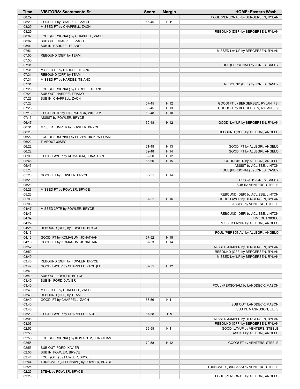| Time           | <b>VISITORS: Sacramento St.</b>                                | <b>Score</b>   | <b>Margin</b> | <b>HOME: Eastern Wash.</b>                                             |
|----------------|----------------------------------------------------------------|----------------|---------------|------------------------------------------------------------------------|
| 08:29          |                                                                |                |               | FOUL (PERSONAL) by BERGERSEN, RYLAN                                    |
| 08:29          | GOOD! FT by CHAPPELL, ZACH                                     | 56-45          | H 11          |                                                                        |
| 08:29          | MISSED FT by CHAPPELL, ZACH                                    |                |               |                                                                        |
| 08:29          |                                                                |                |               | REBOUND (DEF) by BERGERSEN, RYLAN                                      |
| 08:02<br>08:02 | FOUL (PERSONAL) by CHAPPELL, ZACH<br>SUB OUT: CHAPPELL, ZACH   |                |               |                                                                        |
| 08:02          | SUB IN: HARDEE, TEIANO                                         |                |               |                                                                        |
| 07:51          |                                                                |                |               | MISSED LAYUP by BERGERSEN, RYLAN                                       |
| 07:50          | REBOUND (DEF) by TEAM                                          |                |               |                                                                        |
| 07:50          |                                                                |                |               |                                                                        |
| 07:31          |                                                                |                |               | FOUL (PERSONAL) by JONES, CASEY                                        |
| 07:31          | MISSED FT by HARDEE, TEIANO                                    |                |               |                                                                        |
| 07:31          | REBOUND (OFF) by TEAM                                          |                |               |                                                                        |
| 07:31<br>07:31 | MISSED FT by HARDEE, TEIANO                                    |                |               | REBOUND (DEF) by JONES, CASEY                                          |
| 07:23          | FOUL (PERSONAL) by HARDEE, TEIANO                              |                |               |                                                                        |
| 07:23          | SUB OUT: HARDEE, TEIANO                                        |                |               |                                                                        |
| 07:23          | SUB IN: CHAPPELL, ZACH                                         |                |               |                                                                        |
| 07:23          |                                                                | 57-45          | H 12          | GOOD! FT by BERGERSEN, RYLAN [FB]                                      |
| 07:23          |                                                                | 58-45          | H 13          | GOOD! FT by BERGERSEN, RYLAN [FB]                                      |
| 07:13          | GOOD! 3PTR by FITZPATRICK, WILLIAM                             | 58-48          | H 10          |                                                                        |
| 07:13          | ASSIST by FOWLER, BRYCE                                        |                | H 12          |                                                                        |
| 06:47<br>06:31 | MISSED JUMPER by FOWLER, BRYCE                                 | 60-48          |               | GOOD! LAYUP by BERGERSEN, RYLAN                                        |
| 06:28          |                                                                |                |               | REBOUND (DEF) by ALLEGRI, ANGELO                                       |
| 06:22          | FOUL (PERSONAL) by FITZPATRICK, WILLIAM                        |                |               |                                                                        |
| 06:22          | TIMEOUT 30SEC                                                  |                |               |                                                                        |
| 06:22          |                                                                | 61-48          | H 13          | GOOD! FT by ALLEGRI, ANGELO                                            |
| 06:22          |                                                                | 62-48          | H 14          | GOOD! FT by ALLEGRI, ANGELO                                            |
| 06:00          | GOOD! LAYUP by KOMAGUM, JONATHAN                               | 62-50          | H 12          |                                                                        |
| 05:45<br>05:45 |                                                                | 65-50          | H 15          | GOOD! 3PTR by ALLEGRI, ANGELO                                          |
| 05:23          |                                                                |                |               | ASSIST by ACLIESE, LINTON<br>FOUL (PERSONAL) by JONES, CASEY           |
| 05:23          | GOOD! FT by FOWLER, BRYCE                                      | 65-51          | H 14          |                                                                        |
| 05:23          |                                                                |                |               | SUB OUT: JONES, CASEY                                                  |
| 05:23          |                                                                |                |               | SUB IN: VENTERS, STEELE                                                |
| 05:23          | MISSED FT by FOWLER, BRYCE                                     |                |               |                                                                        |
| 05:23          |                                                                |                |               | REBOUND (DEF) by ACLIESE, LINTON                                       |
| 05:06          |                                                                | 67-51          | H 16          | GOOD! LAYUP by BERGERSEN, RYLAN                                        |
| 05:06<br>04:47 | MISSED 3PTR by FOWLER, BRYCE                                   |                |               | ASSIST by VENTERS, STEELE                                              |
| 04:45          |                                                                |                |               | REBOUND (DEF) by ACLIESE, LINTON                                       |
| 04:39          |                                                                |                |               | TIMEOUT 30SEC                                                          |
| 04:29          |                                                                |                |               | MISSED LAYUP by ALLEGRI, ANGELO                                        |
| 04:26          | REBOUND (DEF) by FOWLER, BRYCE                                 |                |               |                                                                        |
| 04:16          |                                                                |                |               | FOUL (PERSONAL) by ALLEGRI, ANGELO                                     |
| 04:16<br>04:16 | GOOD! FT by KOMAGUM, JONATHAN<br>GOOD! FT by KOMAGUM, JONATHAN | 67-52<br>67-53 | H 15<br>H 14  |                                                                        |
| 03:52          |                                                                |                |               | MISSED JUMPER by BERGERSEN, RYLAN                                      |
| 03:50          |                                                                |                |               | REBOUND (OFF) by BERGERSEN, RYLAN                                      |
| 03:49          |                                                                |                |               | MISSED LAYUP by BERGERSEN, RYLAN                                       |
| 03:46          | REBOUND (DEF) by FOWLER, BRYCE                                 |                |               |                                                                        |
| 03:42          | GOOD! LAYUP by CHAPPELL, ZACH [FB]                             | 67-55          | H 12          |                                                                        |
| 03:40          |                                                                |                |               |                                                                        |
| 03:40<br>03:40 | SUB OUT: FOWLER, BRYCE<br>SUB IN: FORD, XAVIER                 |                |               |                                                                        |
| 03:40          |                                                                |                |               | FOUL (PERSONAL) by LANDDECK, MASON                                     |
| 03:40          | MISSED FT by CHAPPELL, ZACH                                    |                |               |                                                                        |
| 03:40          | REBOUND (OFF) by TEAM                                          |                |               |                                                                        |
| 03:40          | GOOD! FT by CHAPPELL, ZACH                                     | 67-56          | H 11          |                                                                        |
| 03:40          |                                                                |                |               | SUB OUT: LANDDECK, MASON                                               |
| 03:40          |                                                                |                |               | SUB IN: MAGNUSON, ELLIS                                                |
| 03:23          | GOOD! LAYUP by CHAPPELL, ZACH                                  | 67-58          | H9            |                                                                        |
| 03:08<br>03:06 |                                                                |                |               | MISSED JUMPER by BERGERSEN, RYLAN<br>REBOUND (OFF) by BERGERSEN, RYLAN |
| 02:55          |                                                                | 69-58          | H 11          | GOOD! LAYUP by VENTERS, STEELE                                         |
| 02:55          |                                                                |                |               | ASSIST by ALLEGRI, ANGELO                                              |
| 02:55          | FOUL (PERSONAL) by KOMAGUM, JONATHAN                           |                |               |                                                                        |
| 02:55          |                                                                | 70-58          | H 12          | GOOD! FT by VENTERS, STEELE                                            |
| 02:55          | SUB OUT: FORD, XAVIER                                          |                |               |                                                                        |
| 02:55          | SUB IN: FOWLER, BRYCE                                          |                |               |                                                                        |
| 02:44          | FOUL (OFF) by FOWLER, BRYCE                                    |                |               |                                                                        |
| 02:44<br>02:25 | TURNOVER (OFFENSIVE) by FOWLER, BRYCE                          |                |               | TURNOVER (BADPASS) by VENTERS, STEELE                                  |
| 02:25          | STEAL by FOWLER, BRYCE                                         |                |               |                                                                        |
| 02:20          |                                                                |                |               | FOUL (PERSONAL) by ALLEGRI, ANGELO                                     |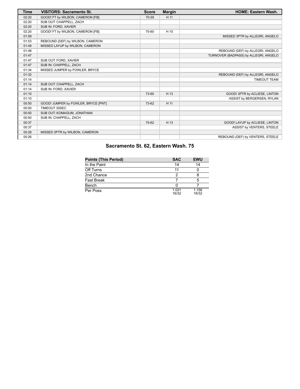| <b>Time</b> | <b>VISITORS: Sacramento St.</b>     | <b>Score</b> | <b>Margin</b> | <b>HOME: Eastern Wash.</b>            |
|-------------|-------------------------------------|--------------|---------------|---------------------------------------|
| 02:20       | GOOD! FT by WILBON, CAMERON [FB]    | 70-59        | H 11          |                                       |
| 02:20       | SUB OUT: CHAPPELL, ZACH             |              |               |                                       |
| 02:20       | SUB IN: FORD, XAVIER                |              |               |                                       |
| 02:20       | GOOD! FT by WILBON, CAMERON [FB]    | 70-60        | H 10          |                                       |
| 01:59       |                                     |              |               | MISSED 3PTR by ALLEGRI, ANGELO        |
| 01:53       | REBOUND (DEF) by WILBON, CAMERON    |              |               |                                       |
| 01:49       | MISSED LAYUP by WILBON, CAMERON     |              |               |                                       |
| 01:48       |                                     |              |               | REBOUND (DEF) by ALLEGRI, ANGELO      |
| 01:47       |                                     |              |               | TURNOVER (BADPASS) by ALLEGRI, ANGELO |
| 01:47       | SUB OUT: FORD, XAVIER               |              |               |                                       |
| 01:47       | SUB IN: CHAPPELL, ZACH              |              |               |                                       |
| 01:34       | MISSED JUMPER by FOWLER, BRYCE      |              |               |                                       |
| 01:32       |                                     |              |               | REBOUND (DEF) by ALLEGRI, ANGELO      |
| 01:14       |                                     |              |               | <b>TIMEOUT TEAM</b>                   |
| 01:14       | SUB OUT: CHAPPELL, ZACH             |              |               |                                       |
| 01:14       | SUB IN: FORD, XAVIER                |              |               |                                       |
| 01:10       |                                     | 73-60        | H 13          | GOOD! 3PTR by ACLIESE, LINTON         |
| 01:10       |                                     |              |               | ASSIST by BERGERSEN, RYLAN            |
| 00:50       | GOOD! JUMPER by FOWLER, BRYCE [PNT] | 73-62        | H 11          |                                       |
| 00:50       | TIMEOUT 30SEC                       |              |               |                                       |
| 00:50       | SUB OUT: KOMAGUM, JONATHAN          |              |               |                                       |
| 00:50       | SUB IN: CHAPPELL, ZACH              |              |               |                                       |
| 00:37       |                                     | 75-62        | H 13          | GOOD! LAYUP by ACLIESE, LINTON        |
| 00:37       |                                     |              |               | ASSIST by VENTERS, STEELE             |
| 00:29       | MISSED 3PTR by WILBON, CAMERON      |              |               |                                       |
| 00:26       |                                     |              |               | REBOUND (DEF) by VENTERS, STEELE      |

# **Sacramento St. 62, Eastern Wash. 75**

| <b>Points (This Period)</b> | <b>SAC</b>     | <b>EWU</b>     |
|-----------------------------|----------------|----------------|
| In the Paint                | 14             | 14             |
| Off Turns                   | 11             |                |
| 2nd Chance                  |                |                |
| Fast Break                  |                |                |
| Bench                       |                |                |
| Per Poss                    | 1.031<br>16/32 | 1.156<br>16/32 |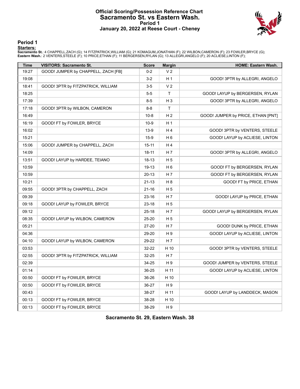#### **Official Scoring/Possession Reference Chart Sacramento St. vs Eastern Wash. Period 1 January 20, 2022 at Reese Court - Cheney**



**Period 1**

#### **Starters:**

**Sacramento St.**: 4 CHAPPELL,ZACH (G); 14 FITZPATRICK,WILLIAM (G); 21 KOMAGUM,JONATHAN (F); 22 WILBON,CAMERON (F); 23 FOWLER,BRYCE (G);<br>**Eastern Wash.**: 2 VENTERS,STEELE (F); 10 PRICE,ETHAN (F); 11 BERGERSEN,RYLAN (G); 13

| <b>Time</b> | <b>VISITORS: Sacramento St.</b>     | <b>Score</b> | <b>Margin</b>  | <b>HOME: Eastern Wash.</b>         |
|-------------|-------------------------------------|--------------|----------------|------------------------------------|
| 19:27       | GOOD! JUMPER by CHAPPELL, ZACH [FB] | $0 - 2$      | V <sub>2</sub> |                                    |
| 19:08       |                                     | $3 - 2$      | H <sub>1</sub> | GOOD! 3PTR by ALLEGRI, ANGELO      |
| 18:41       | GOOD! 3PTR by FITZPATRICK, WILLIAM  | $3-5$        | V <sub>2</sub> |                                    |
| 18:25       |                                     | $5-5$        | $\mathsf{T}$   | GOOD! LAYUP by BERGERSEN, RYLAN    |
| 17:39       |                                     | $8 - 5$      | H <sub>3</sub> | GOOD! 3PTR by ALLEGRI, ANGELO      |
| 17:18       | GOOD! 3PTR by WILBON, CAMERON       | $8 - 8$      | T              |                                    |
| 16:49       |                                     | $10 - 8$     | H <sub>2</sub> | GOOD! JUMPER by PRICE, ETHAN [PNT] |
| 16:19       | GOOD! FT by FOWLER, BRYCE           | $10-9$       | H <sub>1</sub> |                                    |
| 16:02       |                                     | 13-9         | H 4            | GOOD! 3PTR by VENTERS, STEELE      |
| 15:21       |                                     | $15-9$       | H <sub>6</sub> | GOOD! LAYUP by ACLIESE, LINTON     |
| 15:06       | GOOD! JUMPER by CHAPPELL, ZACH      | $15 - 11$    | H 4            |                                    |
| 14:09       |                                     | $18 - 11$    | H 7            | GOOD! 3PTR by ALLEGRI, ANGELO      |
| 13:51       | GOOD! LAYUP by HARDEE, TEIANO       | 18-13        | H <sub>5</sub> |                                    |
| 10:59       |                                     | 19-13        | H <sub>6</sub> | GOOD! FT by BERGERSEN, RYLAN       |
| 10:59       |                                     | $20 - 13$    | H 7            | GOOD! FT by BERGERSEN, RYLAN       |
| 10:21       |                                     | $21 - 13$    | H <sub>8</sub> | GOOD! FT by PRICE, ETHAN           |
| 09:55       | GOOD! 3PTR by CHAPPELL, ZACH        | $21 - 16$    | H <sub>5</sub> |                                    |
| 09:39       |                                     | 23-16        | H 7            | GOOD! LAYUP by PRICE, ETHAN        |
| 09:18       | GOOD! LAYUP by FOWLER, BRYCE        | 23-18        | H <sub>5</sub> |                                    |
| 09:12       |                                     | $25 - 18$    | H 7            | GOOD! LAYUP by BERGERSEN, RYLAN    |
| 08:35       | GOOD! LAYUP by WILBON, CAMERON      | 25-20        | H <sub>5</sub> |                                    |
| 05:21       |                                     | 27-20        | H 7            | GOOD! DUNK by PRICE, ETHAN         |
| 04:36       |                                     | 29-20        | H 9            | GOOD! LAYUP by ACLIESE, LINTON     |
| 04:10       | GOOD! LAYUP by WILBON, CAMERON      | 29-22        | H 7            |                                    |
| 03:53       |                                     | 32-22        | H 10           | GOOD! 3PTR by VENTERS, STEELE      |
| 02:55       | GOOD! 3PTR by FITZPATRICK, WILLIAM  | 32-25        | H 7            |                                    |
| 02:39       |                                     | 34-25        | H 9            | GOOD! JUMPER by VENTERS, STEELE    |
| 01:14       |                                     | 36-25        | H 11           | GOOD! LAYUP by ACLIESE, LINTON     |
| 00:50       | GOOD! FT by FOWLER, BRYCE           | 36-26        | H 10           |                                    |
| 00:50       | GOOD! FT by FOWLER, BRYCE           | 36-27        | H 9            |                                    |
| 00:43       |                                     | 38-27        | H 11           | GOOD! LAYUP by LANDDECK, MASON     |
| 00:13       | GOOD! FT by FOWLER, BRYCE           | 38-28        | H 10           |                                    |
| 00:13       | GOOD! FT by FOWLER, BRYCE           | 38-29        | H 9            |                                    |

**Sacramento St. 29, Eastern Wash. 38**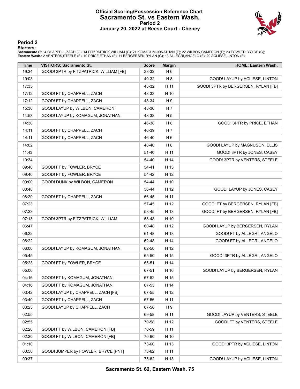# **Official Scoring/Possession Reference Chart Sacramento St. vs Eastern Wash. Period 2 January 20, 2022 at Reese Court - Cheney**



**Period 2**

#### **Starters:**

**Sacramento St.**: 4 CHAPPELL,ZACH (G); 14 FITZPATRICK,WILLIAM (G); 21 KOMAGUM,JONATHAN (F); 22 WILBON,CAMERON (F); 23 FOWLER,BRYCE (G);<br>**Eastern Wash.**: 2 VENTERS,STEELE (F); 10 PRICE,ETHAN (F); 11 BERGERSEN,RYLAN (G); 13

| Time  | <b>VISITORS: Sacramento St.</b>         | <b>Score</b> | <b>Margin</b>  | HOME: Eastern Wash.                 |
|-------|-----------------------------------------|--------------|----------------|-------------------------------------|
| 19:34 | GOOD! 3PTR by FITZPATRICK, WILLIAM [FB] | 38-32        | H 6            |                                     |
| 19:03 |                                         | 40-32        | H <sub>8</sub> | GOOD! LAYUP by ACLIESE, LINTON      |
| 17:35 |                                         | 43-32        | H 11           | GOOD! 3PTR by BERGERSEN, RYLAN [FB] |
| 17:12 | GOOD! FT by CHAPPELL, ZACH              | 43-33        | H 10           |                                     |
| 17:12 | GOOD! FT by CHAPPELL, ZACH              | 43-34        | H9             |                                     |
| 15:30 | GOOD! LAYUP by WILBON, CAMERON          | 43-36        | H 7            |                                     |
| 14:53 | GOOD! LAYUP by KOMAGUM, JONATHAN        | 43-38        | H <sub>5</sub> |                                     |
| 14:30 |                                         | 46-38        | H <sub>8</sub> | GOOD! 3PTR by PRICE, ETHAN          |
| 14:11 | GOOD! FT by CHAPPELL, ZACH              | 46-39        | H 7            |                                     |
| 14:11 | GOOD! FT by CHAPPELL, ZACH              | 46-40        | H 6            |                                     |
| 14:02 |                                         | 48-40        | H <sub>8</sub> | GOOD! LAYUP by MAGNUSON, ELLIS      |
| 11:43 |                                         | 51-40        | H 11           | GOOD! 3PTR by JONES, CASEY          |
| 10:34 |                                         | 54-40        | H 14           | GOOD! 3PTR by VENTERS, STEELE       |
| 09:40 | GOOD! FT by FOWLER, BRYCE               | 54-41        | H 13           |                                     |
| 09:40 | GOOD! FT by FOWLER, BRYCE               | 54-42        | H 12           |                                     |
| 09:00 | GOOD! DUNK by WILBON, CAMERON           | 54-44        | H 10           |                                     |
| 08:48 |                                         | 56-44        | H 12           | GOOD! LAYUP by JONES, CASEY         |
| 08:29 | GOOD! FT by CHAPPELL, ZACH              | 56-45        | H 11           |                                     |
| 07:23 |                                         | 57-45        | H 12           | GOOD! FT by BERGERSEN, RYLAN [FB]   |
| 07:23 |                                         | 58-45        | H 13           | GOOD! FT by BERGERSEN, RYLAN [FB]   |
| 07:13 | GOOD! 3PTR by FITZPATRICK, WILLIAM      | 58-48        | H 10           |                                     |
| 06:47 |                                         | 60-48        | H 12           | GOOD! LAYUP by BERGERSEN, RYLAN     |
| 06:22 |                                         | 61-48        | H 13           | GOOD! FT by ALLEGRI, ANGELO         |
| 06:22 |                                         | 62-48        | H 14           | GOOD! FT by ALLEGRI, ANGELO         |
| 06:00 | GOOD! LAYUP by KOMAGUM, JONATHAN        | 62-50        | H 12           |                                     |
| 05:45 |                                         | 65-50        | H 15           | GOOD! 3PTR by ALLEGRI, ANGELO       |
| 05:23 | GOOD! FT by FOWLER, BRYCE               | 65-51        | H 14           |                                     |
| 05:06 |                                         | 67-51        | H 16           | GOOD! LAYUP by BERGERSEN, RYLAN     |
| 04:16 | GOOD! FT by KOMAGUM, JONATHAN           | 67-52        | H 15           |                                     |
| 04:16 | GOOD! FT by KOMAGUM, JONATHAN           | 67-53        | H 14           |                                     |
| 03:42 | GOOD! LAYUP by CHAPPELL, ZACH [FB]      | 67-55        | H 12           |                                     |
| 03:40 | GOOD! FT by CHAPPELL, ZACH              | 67-56        | H 11           |                                     |
| 03:23 | GOOD! LAYUP by CHAPPELL, ZACH           | 67-58        | H 9            |                                     |
| 02:55 |                                         | 69-58        | H 11           | GOOD! LAYUP by VENTERS, STEELE      |
| 02:55 |                                         | 70-58        | H 12           | GOOD! FT by VENTERS, STEELE         |
| 02:20 | GOOD! FT by WILBON, CAMERON [FB]        | 70-59        | H 11           |                                     |
| 02:20 | GOOD! FT by WILBON, CAMERON [FB]        | 70-60        | H 10           |                                     |
| 01:10 |                                         | 73-60        | H 13           | GOOD! 3PTR by ACLIESE, LINTON       |
| 00:50 | GOOD! JUMPER by FOWLER, BRYCE [PNT]     | 73-62        | H 11           |                                     |
| 00:37 |                                         | 75-62        | H 13           | GOOD! LAYUP by ACLIESE, LINTON      |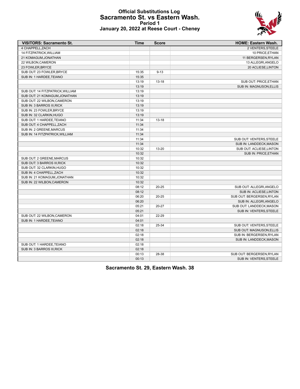# **Official Substitutions Log Sacramento St. vs Eastern Wash. Period 1 January 20, 2022 at Reese Court - Cheney**



| <b>VISITORS: Sacramento St.</b>  | <b>Time</b> | <b>Score</b> | <b>HOME: Eastern Wash.</b>     |
|----------------------------------|-------------|--------------|--------------------------------|
| 4 CHAPPELL.ZACH                  |             |              | 2 VENTERS.STEELE               |
| 14 FITZPATRICK, WILLIAM          |             |              | 10 PRICE, ETHAN                |
| 21 KOMAGUM, JONATHAN             |             |              | 11 BERGERSEN, RYLAN            |
| 22 WILBON, CAMERON               |             |              | 13 ALLEGRI, ANGELO             |
| 23 FOWLER, BRYCE                 |             |              | 20 ACLIESE, LINTON             |
| SUB OUT: 23 FOWLER, BRYCE        | 15:35       | $9 - 13$     |                                |
| SUB IN: 1 HARDEE, TEIANO         | 15:35       |              |                                |
|                                  | 13:19       | $13 - 18$    | SUB OUT: PRICE, ETHAN          |
|                                  | 13:19       |              | <b>SUB IN: MAGNUSON, ELLIS</b> |
| SUB OUT: 14 FITZPATRICK, WILLIAM | 13:19       |              |                                |
| SUB OUT: 21 KOMAGUM.JONATHAN     | 13:19       |              |                                |
| SUB OUT: 22 WILBON, CAMERON      | 13:19       |              |                                |
| SUB IN: 3 BARROS III, RICK       | 13:19       |              |                                |
| SUB IN: 23 FOWLER, BRYCE         | 13:19       |              |                                |
| SUB IN: 32 CLARKIN, HUGO         | 13:19       |              |                                |
| SUB OUT: 1 HARDEE, TEIANO        | 11:34       | $13 - 18$    |                                |
| SUB OUT: 4 CHAPPELL, ZACH        | 11:34       |              |                                |
| SUB IN: 2 GREENE, MARCUS         | 11:34       |              |                                |
| SUB IN: 14 FITZPATRICK, WILLIAM  | 11:34       |              |                                |
|                                  | 11:34       |              | SUB OUT: VENTERS, STEELE       |
|                                  | 11:34       |              | SUB IN: LANDDECK, MASON        |
|                                  | 10:32       | 13-20        | SUB OUT: ACLIESE, LINTON       |
|                                  | 10:32       |              | SUB IN: PRICE, ETHAN           |
| SUB OUT: 2 GREENE, MARCUS        | 10:32       |              |                                |
| SUB OUT: 3 BARROS III, RICK      | 10:32       |              |                                |
| SUB OUT: 32 CLARKIN, HUGO        | 10:32       |              |                                |
| SUB IN: 4 CHAPPELL, ZACH         | 10:32       |              |                                |
| SUB IN: 21 KOMAGUM, JONATHAN     | 10:32       |              |                                |
| SUB IN: 22 WILBON, CAMERON       | 10:32       |              |                                |
|                                  | 08:12       | $20 - 25$    | SUB OUT: ALLEGRI, ANGELO       |
|                                  | 08:12       |              | SUB IN: ACLIESE, LINTON        |
|                                  | 06:20       | $20 - 25$    | SUB OUT: BERGERSEN, RYLAN      |
|                                  | 06:20       |              | SUB IN: ALLEGRI, ANGELO        |
|                                  | 05:21       | 20-27        | SUB OUT: LANDDECK, MASON       |
|                                  | 05:21       |              | SUB IN: VENTERS, STEELE        |
| SUB OUT: 22 WILBON, CAMERON      | 04:01       | 22-29        |                                |
| SUB IN: 1 HARDEE, TEIANO         | 04:01       |              |                                |
|                                  | 02:18       | 25-34        | SUB OUT: VENTERS, STEELE       |
|                                  | 02:18       |              |                                |
|                                  |             |              | SUB OUT: MAGNUSON, ELLIS       |
|                                  | 02:18       |              | SUB IN: BERGERSEN, RYLAN       |
|                                  | 02:18       |              | SUB IN: LANDDECK, MASON        |
| SUB OUT: 1 HARDEE, TEIANO        | 02:18       |              |                                |
| SUB IN: 3 BARROS III, RICK       | 02:18       |              |                                |
|                                  | 00:13       | 28-38        | SUB OUT: BERGERSEN, RYLAN      |
|                                  | 00:13       |              | SUB IN: VENTERS, STEELE        |

**Sacramento St. 29, Eastern Wash. 38**